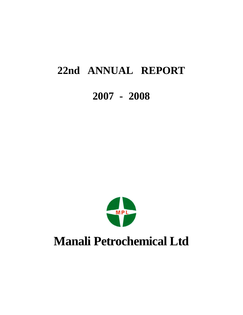# **22nd ANNUAL REPORT**

# **2007 - 2008**



# **Manali Petrochemical Ltd**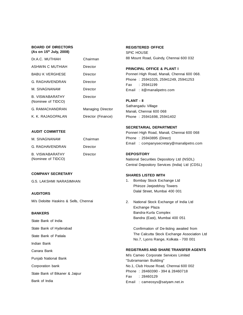# **BOARD OF DIRECTORS (As on 15 th July, 2008)**

| Dr.A.C. MUTHIAH                       | Chairman                 |
|---------------------------------------|--------------------------|
| <b>ASHWIN C MUTHIAH</b>               | Director                 |
| <b>BABU K VERGHESE</b>                | Director                 |
| G. RAGHAVENDRAN                       | Director                 |
| M. SIVAGNANAM                         | Director                 |
| B. VISWABARATHY<br>(Nominee of TIDCO) | Director                 |
| G. RAMACHANDRAN                       | <b>Managing Director</b> |
| K. K. RAJAGOPALAN                     | Director (Finance)       |

# **REGISTERED OFFICE**

SPIC HOUSE 88 Mount Road, Guindy, Chennai 600 032

# **PRINCIPAL OFFICE & PLANT I**

Ponneri High Road, Manali, Chennai 600 068. Phone : 25941025, 25941249, 25941253 Fax : 25941199 Email : it@manalipetro.com

# **PLANT - II**

Sathangadu Village Manali, Chennai 600 068 Phone : 25941698, 25941402

# **SECRETARIAL DEPARTMENT**

Ponneri High Road, Manali, Chennai 600 068 Phone : 25943895 (Direct) Email : companysecretary@manalipetro.com

# **DEPOSITORY**

National Securities Depository Ltd (NSDL) Central Depository Services (India) Ltd (CDSL)

# **SHARES LISTED WITH**

- 1. Bombay Stock Exchange Ltd Phiroze Jeejeebhoy Towers Dalal Street, Mumbai 400 001
- 2. National Stock Exchange of India Ltd Exchange Plaza Bandra-Kurla Complex Bandra (East), Mumbai 400 051

Confirmation of De-listing awaited from The Calcutta Stock Exchange Association Ltd No.7, Lyons Range, Kolkata - 700 001

# **REGISTRARS AND SHARE TRANSFER AGENTS**

M/s Cameo Corporate Services Limited "Subramanian Building" No.1, Club House Road, Chennai 600 002 Phone : 28460390 - 394 & 28460718 Fax : 28460129 Email : cameosys@satyam.net.in

# **AUDIT COMMITTEE**

| M. SIVAGNANAM                         | Chairman |
|---------------------------------------|----------|
| G. RAGHAVENDRAN                       | Director |
| B. VISWABARATHY<br>(Nominee of TIDCO) | Director |

# **COMPANY SECRETARY**

# **AUDITORS**

M/s Deloitte Haskins & Sells, Chennai

# **BANKERS**

- State Bank of India
- State Bank of Hyderabad

State Bank of Patiala

Indian Bank

Canara Bank

Punjab National Bank

Corporation bank

State Bank of Bikaner & Jaipur

Bank of India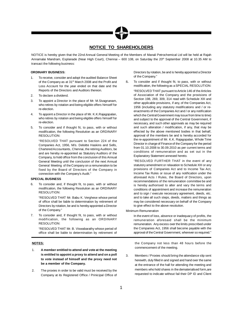# **NOTICE TO SHAREHOLDERS**

NOTICE is hereby given that the 22nd Annual General Meeting of the Members of Manali Petrochemical Ltd will be held at Rajah Annamalai Mandram, Esplanade (Near High Court), Chennai – 600 108, on Saturday the 20 th September 2008 at 10.35 AM to transact the following business:

# **ORDINARY BUSINESS:**

- 1. To receive, consider and adopt the audited Balance Sheet of the Company as at 31<sup>st</sup> March 2008 and the Profit and Loss Account for the year ended on that date and the Reports of the Directors and Auditors thereon.
- 2. To declare a dividend.
- 3. To appoint a Director in the place of Mr. M.Sivagnanam, who retires by rotation and being eligible offers himself for re-election.
- 4. To appoint a Director in the place of Mr. K.K.Rajagopalan, who retires by rotation and being eligible offers himself for re-election.
- 5. To consider and if thought fit, to pass, with or without modification, the following Resolution as an ORDINARY RESOLUTION:

"RESOLVED THAT pursuant to Section 224 of the Companies Act, 1956, M/s. Deloitte Haskins and Sells, CharteredAccountants, Chennai, the retiring Auditors, be and are hereby re-appointed as Statutory Auditors of the Company, to hold office from the conclusion of this Annual General Meeting until the conclusion of the next Annual General Meeting of theCompany on a remuneration to be fixed by the Board of Directors of the Company in connection with the Company's Audit."

# **SPECIAL BUSINESS**

6. To consider and, if thought fit, to pass, with or without modification, the following Resolution as an ORDINARY RESOLUTION:

"RESOLVED THAT Mr. Babu K. Verghese whose period of office shall be liable to determination by retirement of Directors by rotation, be and is herebyappointed a Director of the Company."

7. To consider and, if thought fit, to pass, with or without modification, the following as an ORDINARY RESOLUTION:

"RESOLVED THAT Mr. B. Viswabarathy whose period of office shall be liable to determination by retirement of

# **NOTES:**

- 1. **A member entitled to attend and vote at the meeting is entitled to appoint a proxy to attend and on a poll to vote instead of himself and the proxy need not be a member of the Company.**
- 2. The proxies in order to be valid must be received by the Company at its Registered Office / Prinicipal Office of

Directors by rotation, be and is hereby appointed a Director of the Company."

8**.** To consider and if thought fit, to pass, with or without modification, the following as a SPECIAL RESOLUTION: "RESOLVED THAT pursuant toArticle 146 of theArticles of Association of the Company and the provisions of Section 198, 269, 309, 314 read with Schedule XIII and other applicable provisions, if any, of the Companies Act, 1956 (including any statutory modifications and / or reenactments of theCompanies Act and / or any notification which the Central Government may issue from time to time) and subject to the approval of the Central Government, if necessary, and such other approvals as may be required and such alteration / modification, if any, that may be effected by the above mentioned bodies in that behalf, approval of the members be and is hereby accorded for the re-appointment of Mr. K.K. Rajagopalan, Whole Time Director in charge of Finance of the Company for the period from 01.10.2008 to 30.09.2010 as per current terms and conditions of remuneration and as set out in the Explanatory Statement annexed hereto.

"RESOLVED FURTHER THAT in the event of any statutory amendment or relaxation to Schedule XIII or any provisions of Companies Act and to Income Tax Act, Income Tax Rules or issue of any notification under the aforesaid Acts / Rules, the Board of Directors, upon recommendations of the remuneration committee be and is hereby authorised to alter and vary the terms and conditions of appointment and increase the remuneration and to sign / execute necessary agreement, deeds, etc. and to take all such steps, deeds, matters and things as may be considered necessary on behalf of the Company to give effect to the above resolution.

Minimum Remuneration

In the event of loss, absence or inadequacy of profits, the remuneration aforesaid shall be the minimum remuneration. Any excess over the limits prescribed under the Companies Act, 1956 shall become payable with the approval of the Central Government, wherever so required."

the Company not less than 48 hours before the commencement of the meeting.

3. Members / Proxies should bring the attendance slip sent herewith, duly filled in and signed and hand over the same at the entrance of the hall for attending the meeting and members who hold shares in the dematerialised form,are requested to indicate without fail their DP ID and Client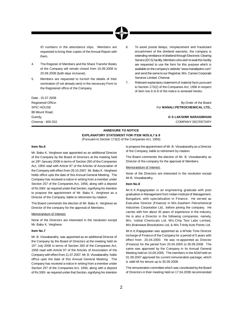ID numbers in the attendance slips. Members are requested to bring their copies of the Annual Report with them.

- 4. The Register of Members and the Share Transfer Books of the Company will remain closed from 10.09.2008 to 20.09.2008 (both days inclusive).
- 5. Members are requested to furnish the details of their nomination (if not already sent) in the necessary Form to the Registered office of the Company.

6. To avoid postal delays, misplacement and fraudulant encashment of the dividend warrants, the company is extending remittance of dividend through Electronic Clearing Service (ECS) facility. Members who wish to avail this facility are requested to use the form for this purpose which is available on thecompany's website "www.manalipetro.com" and send the same to our Registrar, M/s. Cameo Corporate Services Limited, Chennai.

7. Relevant explanatory statement of material facts pursuant to Section 173(2) of the Companies Act, 1956 in respect of item nos.6 to 8 of the notice is annexed hereto.

Registered Office: **By Order of the Board** SPIC HOUSE For **MANALI PETROCHEMICAL LTD.,**

Guindy, **G S LAKSHMI NARASIMHAN** Chennai - 600 032. COMPANY SECRETARY

# **ANNEXURE TO NOTICE EXPLANATORY STATEMENT FOR ITEM NOS.6,7 & 8** (Pursuant to Section 173(2) of the Companies Act, 1956)

# **Item No.6**

Date : 15.07.2008

88 Mount Road,

Mr. Babu K. Verghese was appointed as an additional Director of the Company by the Board of Directors at the meeting held on 28 th January 2008 in terms of Section 260 of the Companies Act, 1956 read with Article 97 of the Articles of Association of the Company with effect from 29.10.2007. Mr. Babu K. Verghese holds office upto the date of this Annual General Meeting. The Company has received a notice in writing from a member under Section 257 of the Companies Act, 1956, along with a deposit of Rs.500/- as required under that Section, signifying his intention to propose the appointment of Mr. Babu K. Verghese as a Director of the Company, liable to retirement by rotation.

The Board commends the election of Mr. Babu K. Verghese as Director of the company for the approval of Members.

# Memorandum of Interest:

None of the Directors are interested in the resolution except Mr. Babu K. Verghese.

# **Item No.7**

Mr. B. Viswabarathy was appointed as an additional Director of the Company by the Board of Directors at the meeting held on 15<sup>th</sup> July 2008 in terms of Section 260 of the Companies Act, 1956 read with Article 97 of the Articles of Association of the Companywith effect from 11.07.2007. Mr. B.Viswabarathy holds office upto the date of this Annual General Meeting. The Company has received a notice in writing from a member under Section 257 of the Companies Act, 1956, along with a deposit of Rs.500/- as required under that Section, signifying his intention

to propose the appointment of Mr. B. Viswabarathyas a Director of the Company, liable to retirement by rotation.

The Board commends the election of Mr. B. Viswabarathy as Director of the company for the approval of Members.

# Memorandum of Interest:

None of the Directors are interested in the resolution except Mr.B. Viswabarathy.

# **Item No.8**

Mr.K.K.Rajagopalan is an engineering graduate with post graduation in Management from Indian Institute of Management, Bangalore, with specialisation in Finance. He served as Executive Director (Finance) in M/s.Southern Petrochemical Industries Corporation Ltd., before joining the company. He carries with him about 35 years of experience in the industry. He is also a Director in the following companies, namely, M/s. Indital Chemicals Ltd, M/s.Chip Test Labs Limited, M/s.Brainwave Biosolutions Ltd, & M/s.TrinityAuto Points Ltd.

Mr.K.K.Rajagopalan was appointed as a Whole Time Director incharge of Finance of the Company for a period of 5 years with effect from 20.04.2000. He was re-appointed as Director (Finance) for the period from 20.04.2005 to 30.09.2008. The same was approved by the Company in its Annual General Meeting held on 10.09.2005. The members in the AGM held on 01.09.2007 approved his current remuneration package, which is valid till his tenure up to 30.09.2008

The remuneration committee which was constituted by the Board of Directors in their meeting held on 17.04.2008 recommended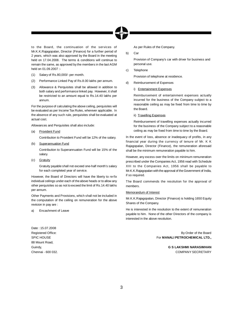

to the Board, the continuation of the services of Mr.K.K.Rajagopalan, Director (Finance) for a further period of 2 years, which was also approved by the Board in the meeting held on 17.04.2008. The terms & conditions will continue to remain the same, as approved by the members in the last AGM held on 01.09.2007 :-

- (1) Salary of Rs.80,000/- per month.
- (2) Performance Linked Pay of Rs.8.00 lakhs per annum.
- (3) Allowance & Perquisites shall be allowed in addition to both salary and performance linked pay. However, it shall be restricted to an amount equal to Rs.14.40 lakhs per annum.

For the purpose of calculating the above ceiling, perquisites will be evaluated as per Income Tax Rules, wherever applicable. In the absence of any such rule, perquisites shall be evaluated at actual cost.

Allowances and Perquisites shall also include:

(a) Provident Fund

Contribution to Provident Fund will be 12% of the salary.

(b) Superannuation Fund

Contribution to Superannuation Fund will be 15% of the salary.

(c) Gratuity

Gratuity payable shall not exceed one-half month's salary for each completed year of service.

However, the Board of Directors will have the liberty to re-fix individual ceilings under each of the above heads or to allow any other perquisites so as not to exceed the limit of Rs.14.40 lakhs per annum.

Other Payments and Provisions, which shall not be included in the computation of the ceiling on remuneration for the above revision in pay are :

a) Encashment of Leave

Date : 15.07.2008 88 Mount Road,

As per Rules of the Company.

b) Car

Provision of Company's car with driver for business and personal use.

c) Telephone

Provision of telephone at residence.

- d) Reimbursement of Expenses
	- i) Entertainment Expenses

Reimbursement of entertainment expenses actually incurred for the business of the Company subject to a reasonable ceiling as may be fixed from time to time by the Board.

ii) Travelling Expenses

Reimbursement of travelling expenses actually incurred for the business of the Company subject to a reasonable ceiling as may be fixed from time to time by the Board.

In the event of loss, absence or inadequacy of profits, in any financial year during the currency of tenure of Mr. K K Rajagopalan, Director (Finance), the remuneration aforesaid shall be the minimum remuneration payable to him.

However, any excess over the limits on minimum remuneration prescribed under the Companies Act, 1956 read with Schedule XIII to the Companies Act, 1956 shall be payable to Mr.K.K.Rajagopalan with the approval of theGovernment of India, if so required.

The Board commends the resolution for the approval of members.

# Memorandum of Interest

Mr.K.K.Rajagopalan, Director (Finance) is holding 1650 Equity Shares of the Company.

He is interested in the resolution to the extent of remuneration payable to him. None of the other Directors of the company is interested in the above resolution.

Registered Office: **By Order of the Board** Registered Office: SPIC HOUSE For **MANALI PETROCHEMICAL LTD.,**

Guindy, **G S LAKSHMI NARASIMHAN** Chennai - 600 032. COMPANY SECRETARY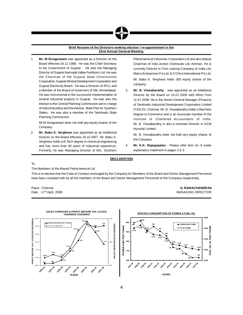# **Brief Resume of the Directors seeking election / re-appointment in the 22nd Annual General Meeting.**

1. **Mr. M.Sivagnanam** was appointed as a Director on the Board effective 26.12.1989. He was the Chief Secretary to the Government of Gujarat . He was the Managing Director of Gujarat Narmada Valley Fertilizers Ltd. He was the Chairman of the Gujarat State Construction Corporation, Gujarat Mineral Development Corporation and Gujarat Electricity Board. He was a Director of IPCL and a Member of the Board of Governors of IIM, Ahmedabad. He was instrumental in the successful implementation of several industrial projects in Gujarat. He was also the Advisor to the Central Planning Commission and in charge of industrial policy and the Advisor, State Plan for Southern States. He was also a member of the Tamilnadu State Planning Commission.

Mr.M.Sivagnanam does not hold any equity shares of the Company.

2. **Mr. Babu K. Verghese** was appointed as an Additional Director on the Board effective 29.10.2007. Mr. Babu K. Verghese holds a B.Tech degree in chemical engineering and has more than 40 years of industrial experience. Formerly, he was Managing Director of M/s. Southern

Petrochemical Industries Corporation Ltd and also deputy Chairman of Indo-Jordon Chemicals Ltd, Amman. He is currently Director in First Leasing Company of India Ltd, Matsu Enterprises Pvt Ltd, & K'Chira International Pvt Ltd. Mr. Babu K. Verghese holds 300 equity shares of the company.

3. **Mr. B. Viswabarathy** was appointed as an Additional Director by the Board on 15.07.2008 with effect from 11.07.2008. He is the Senior General Manager (Finance) of Tamilnadu Industrial Development Corporation Limited (TIDCO), Chennai. Mr. B. Viswabarathy holds a Bachelor Degree in Commerce and is an Associate member of the Institute of Chartered Accountants of India. Mr. B. Viswabarathy is also a nominee Director in DCM Hyundai Limited.

Mr. B. Viswabarathy does not hold any equity shares of the Company.

4. **Mr. K.K. Rajagopalan** - Please refer item no. 8 under explanatory statement in pages 2 & 3.

# **DECLARATION**

To

The Members of the Manali Petrochemical Ltd

This is to declare that the Code of Conduct envisaged by the Company for Members of the Board and Senior Management Personnel have been complied with by all the members of the Board and Senior Management Personnel of the Company respectively.

Date: 17th April, 2008

Place : Chennai **G. RAMACHANDRAN** MANAGING DIRECTOR



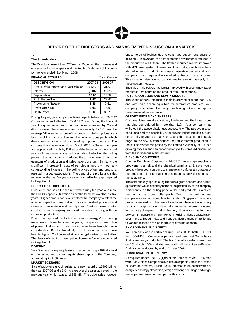# **REPORT OF THE DIRECTORS AND MANAGEMENT DISCUSSION & ANALYSIS**

# To

# **The Shareholders**

The Directors present their 22<sup>nd</sup> Annual Report on the business and operations of your company and the Audited Statement of Accounts for the year ended 31<sup>st</sup> March 2008.

| <b>FINANCIAL RESULTS</b>                |         | (Rs in Crores) |
|-----------------------------------------|---------|----------------|
| <b>DESCRIPTION</b>                      | 2007-08 | 2006-07        |
| Profit Before Interest and Depreciation | 17.43   | 31.61          |
| Interest                                | (0.04)  | (1.31)         |
| Depreciation                            | 10.00   | 10.32          |
| Profit Before Tax                       | 7.47    | 22.60          |
| Provision for Taxation                  | 1.46    | 7.61           |
| <b>Profit After Tax</b>                 | 6.01    | 14.99          |
| <b>Cash Profit</b>                      | 16.85   | 30.76          |

During the year, your company achieved a profit before taxof Rs.7.47 Crores and a profit after tax of Rs.6.01 Crores. During the financial year the quantum of production and sales increased by 2% and 4%. However, the increase in turnover was only Rs.5 Crores due to steep fall in selling prices of the product. Selling prices are a function of the customs duty and the dollar to rupee parity, which determine the landed cost of competing imported products. The customs duty was reduced during March 2007 by 5% and the rupee also appreciated sharply by 11% around the beginning of the financial year and thus these factors had a significant effect on the selling prices of the product, which reduced the turnover, even though the quantum of production and sales have gone up. Similarly, the significant increase in cost of petroleum inputs without any corresponding increase in the selling prices of our end products, resulted in a decreased profit. The trend of the profits and sales turnover for the past few years are summarized in the graph depicted in Page No : 4.

# **OPERATIONAL HIGHLIGHTS**

Production and sales further improved during the year with more than 100% capacity utilization as per the trend set over the last five years. Higher production levels helped the company to offset the adverse impact of lower selling prices of finished products and increase in raw material and fuel oil prices. Due to improved market conditions, your company improved the sales matching with the improved production.

Due to the improved production and various energy & cost saving measures implemented over the years, the specific consumption of power, fuel oil and fresh water have been brought down considerably. But for this effort, cost of production would have been far higher. Continuous efforts are being done to improve further. The details of specific consumption of power & fuel oil are depicted in Page No : 4.

# **DIVIDEND**

Your Directors have great pleasure in recommending a 10% dividend on the issued and paid-up equity share capital of the Company, aggregating Rs.8.60 crores.

# **MARKET SCENARIO**

Sale of propylene glycol registered a new record of 17502 MT for the year 2007-08 and a 7% increase over the sales achieved in the previous year, which was at 16359 MT. The polyol sales however encountered difficulties due to continued supply restrictions of Toluene Di-Isocyanate, the complimenting raw material required in the production of PU foam. The flexible moulded market improved with MDI based system. The new multinational system houses have started offering products at very competitive prices and your company is also aggressively marketing the cold cure systems. This situation also opened up avenues for sale of base polyol to these system houses.

The sale of rigid polyols has further improved with several new panel manufacturers sourcing the product from the company.

# **FUTURE OUTLOOK AND NEW PRODUCTS**

The usage of polyurethanes in India is growing at more than 12% and with India becoming a hub for automotive products, your company is confident of not only maintaining but also to improve the operational performance.

# **OPPORTUNITIES AND THREATS**

Customs duties are already at very low levels and the Indian rupee has also appreciated by more than 11%. Your company has withstood the above challenges successfully. The positive market conditions and the possibility of improving prices provide a great opportunity to your company to expand the capacity and supply polyol to the new system houses that have started production in India. The restrictions posed by the limited availability of TDI is a growing concern and can be tackled only with increased production from the indigenous manufacturer.

# **RISKS AND CONCERNS**

Chennai Petroleum Corporation Ltd (CPCL) as a single supplier of propylene is a risk and the chemical terminal at Ennore would probably help your company to manage any unforeseen outages of the propylene plant to maintain continuous supply of products to the customers.

The continuously appreciating rupee is a great concern and further appreciation would definitely hamper the profitability of the company significantly, as the selling price of the end products is a direct function of the rupee dollar parity. Most of the multinational companies are maintaining tank terminals in Singapore from where products are sold in dollar terms to India and the effect of any duty reductions or appreciation of the Indian rupee has to be encountered immediately, keeping in mind the very short transportation time between Singapore and Indian Ports. Therising inland transportation cost in India through road and frequent disturbances of traffic due to various reasons are also matters of growing concern.

# **ENVIRONMENT AND SAFETY**

Your company was re-certified during June 2005 for both ISO-9001 and ISO-14001. Continuous periodic and bi-annual Surveillance Audits are being conducted. The last Surveillance Audit was done on 26 th March 2008 and the next audit will be a Re-certification Audit to be conducted by end of August 2008.

# **CONSERVATION OF ENERGY**

As required under Sec.217(1)(e) of the Companies Act, 1956 read with Rule-2 of the Companies (Disclosure of particulars in the Report of Board of Directors) Rules, 1988, information on conservation of energy, technology absorption, foreign exchange earnings and outgo, are as per Annexure forming part of this report.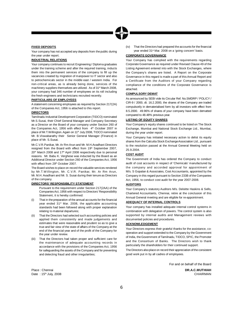

# **FIXED DEPOSITS**

Your company has not accepted any deposits from the public during the year under report.

# **INDUSTRIAL RELATIONS**

Your company continues to recruit Engineering / Diploma graduates under the training scheme and after the required training, inducts them into the permanent services of the company to fill up the vacancies created by migration of manpower to IT sector and also to petrochemicals sector in the middle east / western India. For non-critical areas, as is already being done, services of the machinery suppliers themselves are utilized. As of 31<sup>st</sup> March 2008, your company had 346 number of employees on its roll including the fresh engineers and technicians recruited recently.

# **PARTICULARS OF EMPLOYEES**

A statement concerning employees as required by Section 217(2A) of the Companies Act, 1956 is attached to this report.

# **DIRECTORS**

Tamilnadu Industrial Development Corporation (TIDCO) nominated Mr.S.Susai, their Chief General Manager and Company Secretary as a Director on the Board of your company under Section 260 of the Companies Act, 1956 with effect from 4<sup>th</sup> October 2007 in place of Mr.T.Willington. Again on 11th July 2008, TIDCO nominated Mr. B.Viswabarathy their Senior General Manager (Finance) in place of Mr. S.Susai.

Mr.C.V.R.Panikar, Mr. Ar Rm Arun and Mr. M.H.Avadhani Directors resigned from the Board with effect from 19<sup>th</sup> September 2007, 20<sup>th</sup> March 2008 and 17<sup>th</sup> April 2008 respectively due to personal reasons. Mr. Babu K. Verghese was inducted by the Board as an Additional Director under Section 260 of the Companies Act, 1956 with effect from 29<sup>th</sup> October 2007.

The Board wishes to place on record the valuable services rendered by Mr.T.Willington, Mr. C.V.R. Panikar, Mr. Ar Rm Arun, Mr. M.H.Avadhani and Mr. S. Susai during their tenure as Directors of the company.

# **DIRECTORS' RESPONSIBILITY STATEMENT**

- Pursuant to the requirement under Section 217(2AA) of the Companies Act, 1956 with respect to Directors' Responsibility Statement, it is hereby confirmed:
- (i) That in the preparation of the annual accounts for the financial year ended 31<sup>st</sup> Mar. 2008, the applicable accounting standards had been followed along with proper explanation relating to material departures;
- (ii) That the Directors had selected such accounting policies and applied them consistently and made judgements and estimates that were reasonable and prudent so as to give a true and fair view of the state of affairs of the Company at the end of the financial year and of the profit of the Company for the year under review.
- (iii) That the Directors had taken proper and sufficient care for the maintenance of adequate accounting records in accordance with the provisions of the Companies Act, 1956 for safeguarding the assets of the Company and for preventing and detecting fraud and other irregularities;

(iv) That the Directors had prepared the accounts for the financial year ended 31<sup>st</sup> Mar. 2008 on a 'going concern' basis.

# **CORPORATE GOVERNANCE**

Your Company has complied with the requirements regarding Corporate Governance as required under Revised Clause 49 of the Listing Agreement entered into with the Stock Exchanges, where the Company's shares are listed. A Report on the Corporate Governance in this regard is made a part of this Annual Report and a Certificate from the Auditors of your Company regarding compliance of the conditions of the Corporate Governance is attached.

# **COMPULSORY DEMAT**

As announced by SEBI vide its Circular Ref. No.SMDRP / POLICY / CIR-9 / 2000, dt. 16.2.2000, the shares of the Company are traded compulsorily in dematerialised form by all investors with effect from 8.5.2000. 49.96% of shares of your company have been dematted compared to 48.48% previous year.

# **LISTING OF EQUITY SHARES**

Your Company's equity shares continued to be listed on The Stock Exchange, Mumbai and National Stock Exchange Ltd., Mumbai, during the year under report.

Your Company has initiated necessary action to delist its equity shares from the Calcutta Stock ExchangeAssociation Ltd., pursuant to the resolution passed at the Annual General Meeting held on 25.9.2004.

# **COST AUDIT**

The Government of India has ordered the Company to conduct audit of cost accounts in respect of 'Chemicals' manufactured by the company and accorded approval for appointment of M/s. S Gopalan & Associates, Cost Accountants, appointed by the Company in this regard pursuant to Section 233B of the Companies Act, 1956, to conduct cost audit for the year 2007-2008.

# **AUDITORS**

Your Company's statutory Auditors M/s. Deloitte Haskins & Sells, Chartered Accountants, Chennai, retire at the conclusion of this Annual General meeting and are eligible for re-appointment.

# **ADEQUACY OF INTERNAL CONTROLS**

Your company has installed adequate internal control systems in combination with delegation of powers. The control system is also supported by internal audits and Management reviews with documented policies and procedures.

# **ACKNOWLEDGEMENT**

Your Directors express their grateful thanks for the assistance, cooperation and support extended to the Company by the Government of India, theGovernment of Tamilnadu, TIDCO, SPIC, the Promoter and the Consortium of Banks. The Directors wish to thank particularly the shareholders for their continued support.

The Directors alsoplace on record their appreciation of the consistent good work put in by all cadres of employees.

For and on behalf of the Board

th July, 2008 CHAIRMAN

Place : Chennai **DR.A.C.MUTHIAH** Date: 15<sup>th</sup> July, 2008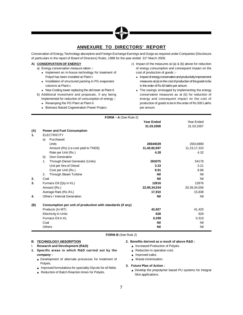# **ANNEXURE TO DIRECTORS' REPORT**

Conservation of Energy, Technology absorption and Foreign Exchange Earnings and Outgo as required under Companies (Disclosure of particulars in the report of Board of Directors) Rules, 1988 for the year ended 31 st March 2008.

# **A) CONSERVATION OF ENERGY**

- a) Energy conservation measure taken :-
	- + Implement an in-house technology for treatment of Polyol has been installed at Plant-I.
	- $\triangleq$  Installation of structured packing in PG evaporator columns at Plant-I.
	- ◆ New Cooling tower replacing the old tower at Plant-II.
- b) Additional investment and proposals, if any being implemented for reduction of consumption of energy :-
	- ← Revamping the PG Plant at Plant-II.
	- Biomass Based Cogeneration Power Project.
- c) Impact of the measures at (a) & (b) above for reduction of energy consumption and consequent impact on the cost of production of goods :-
	- + Impact of energy conservation and productivity improvement measures at (a) on the cost of production of the goods to be in the order of Rs.60 lakhs per annum.
	- $\rightarrow$  The savings envisaged by implementing the energy conservation measures as at (b) for reduction of energy and consequent impact on the cost of production of goods to be in the order of Rs.500 Lakhs per annum.

# **FORM – A** (See Rule-2)

|                |                                                            | <b>Year Ended</b> | Year Ended   |
|----------------|------------------------------------------------------------|-------------------|--------------|
|                |                                                            | 31.03.2008        | 31.03.2007   |
| (A)            | <b>Power and Fuel Consumption</b>                          |                   |              |
| $\mathbf{1}$ . | <b>ELECTRICITY</b>                                         |                   |              |
|                | Purchased<br>a)                                            |                   |              |
|                | Units                                                      | 26644029          | 26014880     |
|                | Amount (Rs) (i.e.cost paid to TNEB)                        | 11,40,82,697      | 11,23,17,310 |
|                | Rate per Unit (Rs.)                                        | 4.28              | 4.32         |
|                | Own Generation<br>b)                                       |                   |              |
|                | Through Diesel Generator (Units)<br>1.                     | 263075            | 54178        |
|                | Unit per litre of Diesel                                   | 3.33              | 3.21         |
|                | Cost per Unit (Rs.)                                        | 9.91              | 9.86         |
|                | Through Steam Turbine<br>2.                                | <b>Nil</b>        | Nil          |
| 2.             | Coal                                                       | <b>Nil</b>        | Nil          |
| 3.             | Furnace Oil (Qty in KL)                                    | 12816             | 12876        |
|                | Amount (Rs.)                                               | 22,95,34,034      | 20,39,34,556 |
|                | Average Rate (Rs./KL)                                      | 17,910            | 15,838       |
| 4.             | Others / Internal Generation                               | Nil               | Nil          |
| (B)            | Consumption per unit of production with standards (if any) |                   |              |
|                | Products (In MT)                                           | 42,827            | 41,420       |
|                | <b>Electricity in Units</b>                                | 628               | 629          |
|                | Furnace Oil in KL                                          | 0.299             | 0.310        |
|                | Coal                                                       | <b>Nil</b>        | Nil          |
|                | Others                                                     | <b>Nil</b>        | Nil          |

**FORM-B** (See Rule 2)

# **B. TECHNOLOGY ABSORPTION**

- I. **Research and Development (R&D)**
- **1. Specific areas in which R&D carried out by the company :**
	- **A** Development of alternate processes for treatment of Polyols.
	- ▲ Improved formulations for speciality Glycols for oil fields.
	- ▲ Reduction of Batch Reaction times for Polyols.

# **2. Benefits derived as a result of above R&D :**

- ▲ Increased Production of Polyols.
- ▲ Reduction in operation cost.
- $\triangle$  Improved sales.
- ▲ Waste minimization.
- **3. Future Plan of Action :**
	- ▲ Develop the prepolymer based PU systems for Integral Skin applications.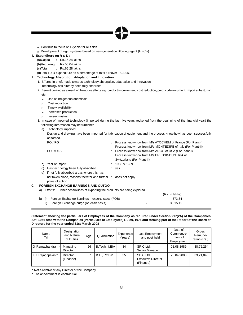▲ Continue to focus on Glycols for oil fields.

**■** Development of rigid systems based on new generation Blowing agent (HFC's).

# **4. Expenditure on R & D :**

(a)Capital : Rs.16.24 lakhs

(b)Recurring : Rs.50.04 lakhs

(c)Total : Rs.66.28 lakhs

(d)Total R&D expenditure as a percentage of total turnover – 0.18%.

# **II. Technology Absorption, Adaptation and Innovation :**

- 1. Efforts, in brief, made towards technology absorption, adaptation and innovation : Technology has already been fully absorbed
- 2. Benefit derived as a result of theabove efforts e.g. product improvement, cost reduction, product development, import substitution etc.:
	- $\triangleright$  Use of indigenous chemicals
	- $\leftarrow$  Cost reduction
	- $\angle$  Timely availability
	- $\blacktriangleright$  Increased production
	- $\leftarrow$  Lesser wastes
- 3. In case of imported technology (imported during the last five years reckoned from the beginning of the financial year) the following information may be furnished.
	- a) Technology imported :

Design and drawing have been imported for fabrication of equipment and the process know-how has been successfully absorbed.

|    | PO / PG                                                                            | : Process know-how from M/s ATOCHEM of France (For Plant-I)<br>Process know-how from M/s MONTEDIPE of Italy (For Plant-II)         |
|----|------------------------------------------------------------------------------------|------------------------------------------------------------------------------------------------------------------------------------|
|    | <b>POLYOLS</b>                                                                     | : Process know-how from M/s ARCO of USA (For Plant-I)<br>Process know-how from M/s PRESSINDUSTRIA of<br>Switzerland (For Plant-II) |
|    |                                                                                    |                                                                                                                                    |
|    | b)<br>Year of Import                                                               | : 1988 & 1989                                                                                                                      |
|    | Has technology been fully absorbed<br>C)                                           | $:$ yes.                                                                                                                           |
|    | if not fully absorbed areas where this has<br>d)                                   |                                                                                                                                    |
|    | not taken place, reasons therefor and further : does not apply<br>plans of action  |                                                                                                                                    |
| C. | <b>FOREIGN EXCHANGE EARNINGS AND OUTGO:</b>                                        |                                                                                                                                    |
|    | Efforts: Further possibilities of exporting the products are being explored.<br>a) |                                                                                                                                    |
|    |                                                                                    | (Rs. in lakhs)                                                                                                                     |
|    | Foreign Exchange Earnings – exports sales (FOB)<br>b)<br>- D.                      | 373.34                                                                                                                             |

ii) Foreign Exchange outgo (on cash basis)  $\sim$  3,515.12

# Statement showing the particulars of Employees of the Company as required under Section 217(2A) of the Companies Act, 1956 read with the Companies (Particulars of Employees) Rules, 1975 and forming part of the Report of the Board of **Directors for the year ended 31st March 2008**

| Name<br>Tvl       | Designation<br>and Nature<br>of Duties | Age | Qualification | Experience<br>Years) | Last Employment<br>and post held                     | Date of<br>Commence-<br>ment of<br>Employment | Gross<br>Remune-<br>ration (Rs.) |
|-------------------|----------------------------------------|-----|---------------|----------------------|------------------------------------------------------|-----------------------------------------------|----------------------------------|
| G. Ramachandran * | Managing<br><b>Director</b>            | 56  | B.Tech., MBA  | 34                   | SPIC Ltd.,<br>Senior Manager                         | 01.08.1989                                    | 38,76,254                        |
| K K Rajagopalan * | <b>Director</b><br>(Finance)           | 57  | B.E., PGDM    | 35                   | SPIC Ltd.,<br><b>Executive Director</b><br>(Finance) | 20.04.2000                                    | 33,21,848                        |

\* Not a relative of any Director of the Company.

\* The appointment is contractual.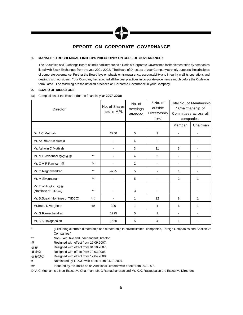# **REPORT ON CORPORATE GOVERNANCE**

# **1. MANALI PETROCHEMICAL LIMITED'S PHILOSOPHY ON CODE OF GOVERNANCE :**

The Securities and Exchange Board of India had introduced a Code of Corporate Governance for implementation by companies listed with Stock Exchanges from the year 2001-2002. The Board of Directors of your Company strongly supports the principles of corporate governance. Further the Board lays emphasis on transparency, accountability and integrity in all its operations and dealings with outsiders. Your Company had adopted all the best practices in corporate governance much before the Code was formulated. The following are the detailed practices on Corporate Governance in your Company:

# **2. BOARD OF DIRECTORS:**

# (a) Composition of the Board : (for the financial year **2007-2008**)

| Director                                   |         |      | No. of<br>meetings<br>attended | * No. of<br>outside<br>Directorship<br>held |        | Total No. of Membership<br>/ Chairmanship of<br>Committees across all<br>companies. |
|--------------------------------------------|---------|------|--------------------------------|---------------------------------------------|--------|-------------------------------------------------------------------------------------|
|                                            |         |      |                                |                                             | Member | Chairman                                                                            |
| Dr A C Muthiah                             |         | 2250 | 5                              | 9                                           |        |                                                                                     |
| Mr. Ar Rm Arun @ @ @                       |         |      | 4                              | $\overline{\phantom{0}}$                    |        | $\blacksquare$                                                                      |
| Mr. Ashwin C Muthiah                       |         |      | 3                              | 11                                          | 3      |                                                                                     |
| Mr. M H Avadhani @ @ @ @                   | $***$   |      | 4                              | $\overline{2}$                              |        |                                                                                     |
| Mr. C V R Panikar @                        | $***$   |      | 2                              | $\blacksquare$                              | ÷.     |                                                                                     |
| Mr. G Raghavendran                         | $***$   | 4725 | 5                              | $\blacksquare$                              | 1      | $\blacksquare$                                                                      |
| Mr. M Sivagnanam                           | $***$   |      | 5                              |                                             | 2      | 1                                                                                   |
| Mr. T Willington @ @<br>(Nominee of TIDCO) | $***$   |      | 3                              | $\blacksquare$                              | ۰      |                                                                                     |
| Mr. S.Susai (Nominee of TIDCO)             | $***$ # |      | 1                              | 12                                          | 8      | 1                                                                                   |
| Mr.Babu K Verghese                         | ##      | 300  | 1                              | 1                                           | 6      | 1                                                                                   |
| Mr. G Ramachandran                         |         | 1725 | 5                              | 1                                           |        |                                                                                     |
| Mr. K K Rajagopalan                        |         | 1650 | 5                              | 4                                           | 1      |                                                                                     |

\* (Excluding alternate directorship and directorship in private limited companies, Foreign Companies and Section 25 Companies.)

\*\* Non-Executive and Independent Director.

@ Resigned with effect from 19.09.2007.

@@ Resigned with effect from 04.10.2007.

@@@ Resigned with effect from 20.03.2008

@@@@ Resigned with effect from 17.04.2008.

# Nominated by TIDCO with effect from 04.10.2007.

## Inducted by the Board as an Additional Director with effect from 29.10.07.

Dr A.C.Muthiah is a Non-Executive Chairman, Mr. G.Ramachandran and Mr. K.K. Rajagopalan are Executive Directors.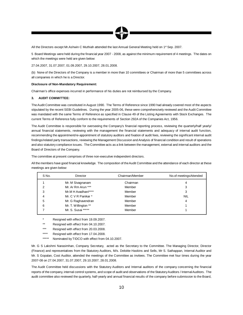

All the Directors except Mr.Ashwin C Muthiah attended the last Annual General Meeting held on 1st Sep. 2007.

5 Board Meetings were held during the financial year 2007 - 2008, as against the minimum requirement of 4 meetings. The dates on which the meetings were held are given below:

27.04.2007, 31.07.2007, 01.09.2007, 29.10.2007, 28.01.2008.

(b) None of the Directors of the Company is a member in more than 10 committees or Chairman of more than 5 committees across all companies in which he is a Director.

# **Disclosure of Non-Mandatory Requirement:**

Chairman's office expenses incurred in performance of his duties are not reimbursed by the Company.

# **3. AUDIT COMMITTEE:**

TheAudit Committee was constituted in August 1990. The Terms of Reference since 1990 had already covered most of the aspects stipulated by the recent SEBI Guidelines. During the year 2005-06, these were comprehensively reviewed and the Audit Committee was mandated with the same Terms of Reference as specified in Clause 49 of the Listing Agreements with Stock Exchanges. The current Terms of Reference fully conform to the requirements of Section 292A of the Companies Act, 1956.

The Audit Committee is responsible for overseeing the Company's financial reporting process, reviewing the quarterly/half yearly/ annual financial statements, reviewing with the management the financial statements and adequacy of internal audit function, recommending the appointment/re-appointment of statutory auditors and fixation of audit fees, reviewing the significant internal audit findings/related party transactions, reviewing the Management Discussion and Analysis of financial condition and result of operations and also statutory compliance issues. The Committee acts as a link between the management, external and internal auditors and the Board of Directors of the Company.

The committee at present comprises of three non-executive independent directors.

All the members have good financial knowledge. The composition of theAudit Committee and the attendance of each director at these meetings are given below:

| S No. | Director             | Chairman/Member | No.of meetings Attended |
|-------|----------------------|-----------------|-------------------------|
|       | Mr. M Sivagnanam     | Chairman        | 4                       |
| 2     | Mr. Ar Rm Arun ***   | Member          | 3                       |
| 3     | Mr.M H Avadhani****  | Member          | 3                       |
| 4     | Mr. C V R Panikar *  | Member          | <b>NIL</b>              |
| 5     | Mr. G Raghavendran   | Member          | 4                       |
| 6     | Mr. T. Willington ** | Member          |                         |
|       | Mr. S. Susai *****   | Member          |                         |

Resigned with effect from 19.09.2007.

- \*\* Resigned with effect from 04.10.2007.
- \*\*\* Resigned with effect from 20.03.2008.
- \*\*\*\* Resigned with effect from 17.04.2008.
- \*\*\*\*\* Nominated by TIDCO with effect from 04.10.2007.

Mr. G S Lakshmi Narasimhan, Company Secretary, acted as the Secretary to the Committee. The Managing Director, Director (Finance) and representatives from the Statutory Auditors, M/s. Deloitte Haskins and Sells, Mr S. Sathappan, Internal Auditor and Mr. S Gopalan, Cost Auditor, attended the meetings of the Committee as invitees. The Committee met four times during the year 2007-08 on 27.04.2007, 31.07.2007, 29.10.2007, 28.01.2008.

The Audit Committee held discussions with the Statutory Auditors and Internal auditors of the company concerning the financial reports of the company, internal control systems, and scope of audit and observations of the Statutory Auditors / Internal Auditors. The audit committee also reviewed the quarterly, half-yearly and annual financial results of the company before submission to the Board,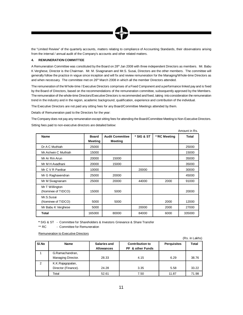

the "Limited Review" of the quarterly accounts, matters relating to compliance of Accounting Standards, their observations arising from the internal / annual audit of the Company's accounts and other related matters.

# **4. REMUNERATION COMMITTEE**

A Remuneration Committee was constituted by the Board on 28<sup>th</sup> Jan 2008 with three independent Directors as members. Mr. Babu K Verghese, Director is the Chairman. Mr. M. Sivagnanam and Mr.S. Susai, Directors are the other members. The committee will generally follow the practice in vogue since inception and will fix and review remuneration for the Managing/Whole-time Directors as and when necessary. The committee met on 26<sup>th</sup> March 2008 in which all the member Directors attended.

The remuneration of the Whole-time / Executive Directors comprises of a Fixed Component and a performance linked pay and is fixed by the Board of Directors, based on the recommendations of the remuneration committee, subsequently approved by the Members. The remuneration of the whole-time Directors/Executive Directors is recommended and fixed, taking into consideration the remuneration trend in the industry and in the region, academic background, qualification, experience and contribution of the individual.

The Executive Directors are not paid any sitting fees for any Board/Committee Meetings attended by them.

Details of Remuneration paid to the Directors for the year:

The Company does not pay any remuneration except sitting fees for attending the Board/Committee Meeting to Non-Executive Directors. Sitting fees paid to non-executive directors are detailed below:

Amount in Rs.

| Name                                  | <b>Board</b><br>Meeting | <b>Audit Committee</b><br><b>Meeting</b> | * SIG & ST | **RC Meeting | <b>Total</b> |
|---------------------------------------|-------------------------|------------------------------------------|------------|--------------|--------------|
| Dr A C Muthiah                        | 25000                   |                                          |            |              | 25000        |
| Mr. Ashwin C Muthiah                  | 15000                   |                                          |            |              | 15000        |
| Mr Ar Rm Arun                         | 20000                   | 15000                                    |            |              | 35000        |
| Mr M H Avadhani                       | 20000                   | 15000                                    |            |              | 35000        |
| Mr C V R Panikar                      | 10000                   |                                          | 20000      |              | 30000        |
| Mr G Raghavendran                     | 25000                   | 20000                                    |            |              | 45000        |
| Mr M Sivagnanam                       | 25000                   | 20000                                    | 44000      | 2000         | 91000        |
| Mr T Willington<br>(Nominee of TIDCO) | 15000                   | 5000                                     |            |              | 20000        |
| Mr.S.Susai<br>(Nominee of TIDCO)      | 5000                    | 5000                                     |            | 2000         | 12000        |
| Mr Babu K Verghese                    | 5000                    |                                          | 20000      | 2000         | 27000        |
| <b>Total</b>                          | 165000                  | 80000                                    | 84000      | 6000         | 335000       |

**\*** SIG & ST - Committee for Shareholders & Investors Grievance & Share Transfer

\*\* RC - Committee for Remuneration

Remuneration to Executive Directors

|       |                                         |                                          |                                            |                    | (Rs. in Lakhs) |
|-------|-----------------------------------------|------------------------------------------|--------------------------------------------|--------------------|----------------|
| SI.No | <b>Name</b>                             | <b>Salaries and</b><br><b>Allowances</b> | <b>Contribution to</b><br>PF & other Funds | <b>Perquisites</b> | <b>Total</b>   |
|       | G.Ramachandran,<br>Managing Director.   | 28.33                                    | 4.15                                       | 6.29               | 38.76          |
| 2     | K.K.Rajagopalan,<br>Director (Finance). | 24.28                                    | 3.35                                       | 5.58               | 33.22          |
|       | Total                                   | 52.61                                    | 7.50                                       | 11.87              | 71.98          |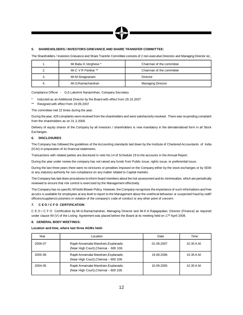

# **5. SHAREHOLDERS / INVESTORS GRIEVANCE AND SHARE TRANSFER COMMITTEE:**

The Shareholders / Investors Grievance and Share Transfer Committee consists of 2 non-executive Directors and Managing Director viz.,

|    | Mr.Babu K.Verghese * | Chairman of the committee |
|----|----------------------|---------------------------|
|    | Mr.C V R Panikar **  | Chairman of the committee |
| J. | Mr.M.Sivagnanam      | Director                  |
|    | Mr.G.Ramachandran    | <b>Managing Director</b>  |

Compliance Officer - G.S.Lakshmi Narasimhan, Company Secretary

- Inducted as an Additional Director by the Board with effect from 29.10.2007
- \*\* Resigned with effect from 19.09.2007

The committee met 22 times during the year.

During the year, 429 complaints were received from the shareholders and were satisfactorily resolved. There was no pending complaint from the shareholders as on 31.3.2008.

Delivery of equity shares of the Company by all investors / shareholders is now mandatory in the dematerialised form in all Stock Exchanges.

# **6. DISCLOSURES**

The Company has followed the guidelines of the Accounting standards laid down by the Institute of Chartered Accountants of India (ICAI) in preparation of its financial statements.

Transactions with related parties are disclosed in note No.14 of Schedule 19 to the accounts in the Annual Report.

During the year under review the company has not raised any funds from Public issue, rights issue, or preferential issue.

During the last three years there were no strictures or penalties imposed on the Company either by the stock exchanges or by SEBI or any statutory authority for non-compliance on any matter related to Capital markets.

The Companyhas laid down procedures to inform board members about the risk assessment and its minimisation, which are periodically reviewed to ensure that risk control is exercised by the Management effectively.

The Company has no specific Whistle Blower Policy. However, the Company recognises the importance of such informations and free access is available for employees at any level to report to the Management about the unethical behaviour or suspected fraud by staff/ officers/suppliers/customers in violation of the company's code of conduct or any other point of concern.

# **7. C E O / C F O CERTIFICATION**

C E O / C F O Certification by Mr.G.Ramachandran, Managing Director and Mr.K.K.Rajagopalan, Director (Finance) as required under clause 49 (V) of the Listing Agreement was placed before the Board at its meeting held on 17<sup>th</sup> April 2008.

# **8. GENERAL BODY MEETINGS:**

**Location and time, where last three AGMs held:**

| Year    | Location                                                                     | Date       | Time         |
|---------|------------------------------------------------------------------------------|------------|--------------|
| 2006-07 | Rajah Annamalai Mandram, Esplanade,<br>(Near High Court), Chennai - 600 108. | 01.09.2007 | $10.35$ A.M. |
| 2005-06 | Rajah Annamalai Mandram, Esplanade,<br>(Near High Court), Chennai - 600 108. | 19.08.2006 | 10.35 A.M.   |
| 2004-05 | Rajah Annamalai Mandram, Esplanade,<br>(Near High Court), Chennai - 600 108. | 10.09.2005 | $10.35$ A.M. |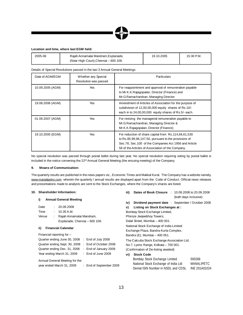# **Location and time, where last EGM held:**

| 2005-06 | Raiah Annamalai Mandram. Esplanade.   | 19.10.2005 | 15:30 P.M. |
|---------|---------------------------------------|------------|------------|
|         | (Near High Court), Chennai – 600 108. |            |            |

Details of Special Resolutions passed in the last 3 Annual General Meetings

| Date of AGM/EGM  | Whether any Special<br>Resolution was passed | <b>Particulars</b>                                                                                                                                                                                                         |  |
|------------------|----------------------------------------------|----------------------------------------------------------------------------------------------------------------------------------------------------------------------------------------------------------------------------|--|
| 10.09.2005 (AGM) | Yes                                          | For reappointment and approval of remuneration payable<br>to Mr.K.K.Rajagopalan, Director (Finance) and<br>Mr.G.Ramachandran, Managing Director.                                                                           |  |
| 19.08.2006 (AGM) | Yes                                          | Amendment of Articles of Association for the purpose of<br>subdivision of 12,00,00,000 equity shares of Rs.10/-<br>each in to 24,00,00,000 equity shares of Rs.5/- each.                                                   |  |
| 01.09.2007 (AGM) | Yes                                          | For revising the managerial remuneration payable to<br>Mr.G.Ramachandran, Managing Director &<br>Mr.K.K.Rajagopalan, Director (Finance).                                                                                   |  |
| 19.10.2005 (EGM) | <b>Yes</b>                                   | For reduction of share capital from Rs.114,66,61,530<br>to Rs.85,99,96,147.50, pursuant to the provisions of<br>Sec.78, Sec.100 of the Companies Act 1956 and Article<br>58 of the Articles of Association of the Company. |  |

No special resolution was passed through postal ballot during last year. No special resolution requiring voting by postal ballot is included in the notice convening the 22<sup>nd</sup> Annual General Meeting (the ensuing meeting) of the Company.

# **9. Means of Communication:**

The quarterly results are published in the news papers viz., Economic Times and Makkal Kural. The Company has a website namely, www.manalipetro.com wherein the quarterly / annual results are displayed apart from the Code of Conduct. Official news releases and presentations made to analysts are sent to the Stock Exchanges, where the Company's shares are listed.

# **10. Shareholder Information:**

# **i) Annual General Meeting**

| Date  | : 20.09.2008                  |
|-------|-------------------------------|
| Time  | 10.35 A.M.                    |
| Venue | Rajah Annamalai Mandram,      |
|       | Esplanade, Chennai - 600 108. |
|       |                               |

# **ii) Financial Calendar**

| Financial reporting for -     |                               |
|-------------------------------|-------------------------------|
| Quarter ending June 30, 2008  | $\therefore$ End of July 2008 |
| Quarter ending Sept. 30, 2008 | : End of October 2008         |
| Quarter ending Dec. 31, 2008  | : End of January 2009         |
| Year ending March 31, 2009    | : End of June 2009            |
|                               |                               |

Annual General Meeting for the

year ended

| March 31, 2009 |  | End of September 2009 |
|----------------|--|-----------------------|
|----------------|--|-----------------------|

- **iii) Dates of Book Closure** : 10.09.2008 to 20.09.2008 (both days inclusive) **iv) Dividend payment date** : September / October 2008
- **v) Listing on Stock Exchanges at :**
- Bombay Stock Exchange Limited,

Phiroze Jeejeebhoy Towers,

Dalal Street, Mumbai – 400 001.

National Stock Exchange of India Limited Exchange Plaza, Bandra-Kurla Complex, Bandra (E), Mumbai – 400 051.

The Calcutta Stock Exchange Association Ltd, No.7, Lyons Range, Kolkata – 700 001.

(Confirmation of De-listing awaited)

# **vi) Stock Code**

| Bombay Stock Exchange Limited        | 500268        |
|--------------------------------------|---------------|
| National Stock Exchange of India Ltd | MANALIPETC    |
| Demat ISIN Number in NSDL and CDSL   | INE 201A01024 |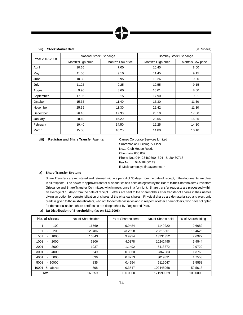**vii) Stock Market Data:** (in Rupees)

| Year 2007-2008 | National Stock Exchange |                   | <b>Bombay Stock Exchange</b> |                   |  |
|----------------|-------------------------|-------------------|------------------------------|-------------------|--|
|                | Month's High price      | Month's Low price | Month's High price           | Month's Low price |  |
| April          | 10.65                   | 7.00              | 10.45                        | 8.00              |  |
| May            | 11.50                   | 9.10              | 11.45                        | 9.15              |  |
| June           | 10.30                   | 8.95              | 10.26                        | 9.00              |  |
| July           | 11.25                   | 9.25              | 10.55                        | 9.15              |  |
| August         | 9.90                    | 8.60              | 10.01                        | 8.60              |  |
| September      | 17.95                   | 9.15              | 17.90                        | 9.01              |  |
| October        | 15.35                   | 11.40             | 15.30                        | 11.50             |  |
| November       | 25.35                   | 11.30             | 25.42                        | 11.30             |  |
| December       | 26.10                   | 17.30             | 26.10                        | 17.00             |  |
| January        | 28.60                   | 15.20             | 28.55                        | 15.35             |  |
| February       | 19.40                   | 14.50             | 19.25                        | 14.10             |  |
| March          | 15.00                   | 10.25             | 14.80                        | 10.10             |  |

**viii) Registrar and Share Transfer Agents:** Cameo Corporate Services Limited

Subramanian Building, V Floor No.1, Club House Road, Chennai – 600 002. Phone No.: 044-28460390 -394 & 28460718 Fax No. : 044-28460129 E-Mail: cameosys@satyam.net.in

# **ix) Share Transfer System:**

Share Transfers are registered and returned within a period of 30 days from the date of receipt, if the documents are clear in all respects. The power to approve transfer of securities has been delegated by the Board to the Shareholders / Investors Grievance and Share Transfer Committee, which meets once in a fortnight. Share transfer requests are processed within an average of 15 days from the date of receipt. Letters are sent to the shareholders after transfer of shares in their names giving an option for dematerialisation of shares of the physical shares. Physical shares are dematerialised and electronic credit is given to those shareholders, who opt for dematerialisation and in respect of other shareholders, who have not opted for dematerialisation, share certificates are despatched by Registered Post.

# **x) (a) Distribution of Shareholding (as on 31.3.2008)**

| No. of shares                  | No. of Shareholders | % of Shareholders | No. of Shares held | % of Shareholding |
|--------------------------------|---------------------|-------------------|--------------------|-------------------|
| 100<br>$\blacksquare$          | 16769               | 9.9484            | 1149220            | 0.6682            |
| 101<br>200<br>٠                | 123486              | 73.2598           | 28315501           | 16.4626           |
| 501<br>1000<br>۰               | 16843               | 9.9924            | 13231352           | 7.6927            |
| 1001<br>2000<br>۰              | 6806                | 4.0378            | 10241495           | 5.9544            |
| 2001<br>3000<br>۰              | 1937                | 1.1492            | 5113372            | 2.9729            |
| 3001<br>4000<br>$\blacksquare$ | 649                 | 0.3850            | 2367283            | 1.3763            |
| 4001<br>5000<br>٠              | 636                 | 0.3773            | 3019891            | 1.7558            |
| 5001<br>10000<br>۰             | 835                 | 0.4954            | 6116047            | 3.5558            |
| 10001<br>&<br>above            | 598                 | 0.3547            | 102445068          | 59.5613           |
| Total                          | 168559              | 100.0000          | 171999229          | 100.0000          |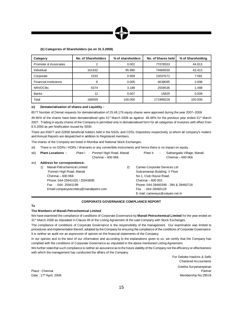

# **(b) Categories of Shareholders (as on 31.3.2008)**

| Category                      | No. of Shareholders | % of shareholders | No. of Shares held | % of Shareholding |
|-------------------------------|---------------------|-------------------|--------------------|-------------------|
| Promoter & Associates         |                     | 0.001             | 77078553           | 44.813            |
| Individual                    | 161632              | 95.890            | 74669550           | 43.413            |
| Corporate                     | 1532                | 0.909             | 13037671           | 7.581             |
| <b>Financial Institutions</b> | 8                   | 0.005             | 4638095            | 2.696             |
| NRI/OCBs                      | 5374                | 3.188             | 2559535            | 1.488             |
| <b>Banks</b>                  | 11                  | 0.007             | 15825              | 0.009             |
| Total                         | 168559              | 100.000           | 171999229          | 100.000           |

# **xi) Dematerialisation of shares and Liquidity :**

8577 Number of Demat requests for dematerialisation of 25,49,176 equity shares were approved during the year 2007–2008.

49.96% of the shares have been dematerialised upto 31st March 2008 as against 48.48% for the previous year ended 31st March 2007. Trading in equity shares of the Company is permitted only in dematerialised form for all categories of investors with effect from 8.5.2000 as per Notification issued by SEBI.

There are 65877 and 22858 beneficial holders held in the NSDL and CDSL Depository respectively, to whom all company's mailers and Annual Reports are despatched in addition to Registered members.

The shares of the Company are listed in Mumbai and National Stock Exchanges.

xii) There is no GDRs / ADRs / Warrants or any convertible instruments and hence there is no impact on equity.

| xiii) | <b>Plant Locations:</b>            | Plant I: Ponneri High Road, Manali<br>Chennai - 600 068. |    | Plant II                       | Sathangadu Village, Manali<br>Chennai - 600 068. |
|-------|------------------------------------|----------------------------------------------------------|----|--------------------------------|--------------------------------------------------|
| xiv)  | Address for correspondence:        |                                                          |    |                                |                                                  |
|       | Manali Petrochemical Limited<br>1) |                                                          | 2) | Cameo Corporate Services Ltd   |                                                  |
|       | Ponneri High Road, Manali          |                                                          |    | Subramanian Building, V Floor  |                                                  |
|       | Chennai - 600 068.                 |                                                          |    | No.1, Club House Road,         |                                                  |
|       | Phone: 044-25941025 / 25943895     |                                                          |    | Chennai - 600 002.             |                                                  |
|       | Fax: 044-25941199                  |                                                          |    |                                | Phone: 044-28460390 - 394 & 28460718             |
|       |                                    | Email:companysecretary@manalipetro.com                   |    | Fax: 044-28460129              |                                                  |
|       |                                    |                                                          |    | E-mail: cameosys@satyam.net.in |                                                  |
|       |                                    |                                                          |    |                                |                                                  |

# **CORPORATE GOVERNANCE COMPLIANCE REPORT**

# **To**

# **The Members of Manali Petrochemical Limited**

We have examined the compliance of conditions of Corporate Governance by **Manali Petrochemical Limited** for the year ended on 31<sup>st</sup> March 2008 as stipulated in Clause 49 of the Listing Agreement of the said Company with Stock Exchanges.

The compliance of conditions of Corporate Governance is the responsibility of the management. Our examination was limited to procedures and implementation thereof, adopted by theCompany for ensuring the compliance of the conditions of Corporate Governance. It is neither an audit nor an expression of opinion on the financial statements of the Company.

In our opinion and to the best of our information and according to the explanations given to us, we certify that the Company has complied with the conditions of Corporate Governance as stipulated in the above mentioned Listing Agreement.

We further state that such compliance is neither an assurance as to the future viability of the Company nor the efficiency or effectiveness with which the management has conducted the affairs of the Company.

For Deloitte Haskins & Sells Chartered Accountants Geetha Suryanarayanan Place : Chennai Partner Membership No.29519

Date: 17th April, 2008.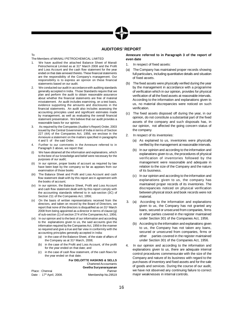# **AUDITORS' REPORT**

To

# The Members of MANALI PETROCHEMICAL LIMITED

- 1. We have audited the attached Balance Sheet of Manali Petrochemical Limited as at 31<sup>st</sup> March 2008 and the Profit and Loss Account and the cash flow statement for the year ended on that date annexed thereto. These financial statements are the responsibility of the Company's management. Our responsibility is to express an opinion on these financial statements based on our audit.
- 2. We conducted our audit in accordancewith auditing standards generally accepted in India. Those Standards require that we plan and perform the audit to obtain reasonable assurance about whether the financial statements are free of material misstatement. An audit includes examining, on a test basis, evidence supporting the amounts and disclosures in the financial statements. An audit also includes assessing the accounting principles used and significant estimates made by management, as well as evaluating the overall financial statement presentation. We believe that our audit provides a reasonable basis for our opinion.
- 3. As required by the Companies (Auditor's Report) Order, 2003 issued by the Central Government of India in terms of Section 227 (4A) of the Companies Act, 1956, we enclose in the Annexure a statement on the matters specified in paragraphs 4 and 5 of the said Order.
- Further to our comments in the Annexure referred to in Paragraph 3 above, we report that:
- (i) We have obtained all the information and explanations, which to the best of our knowledge and belief were necessary for the purposes of our audit;
- (ii) In our opinion, proper books of account as required by law have been kept by the company so far as appears from our examination of those books
- (iii) The Balance Sheet and Profit and Loss Account and cash flow statement dealt with by this report are in agreement with the books of account;
- (iv) In our opinion, the Balance Sheet, Profit and Loss Account and cash flow statement dealt with by this report comply with the accounting standards referred to in sub-section (3C) of Section 211 of the Companies Act, 1956;
- (v) On the basis of written representations received from the directors, and taken on record by the Board of Directors, we report that none of the directors is disqualified as on 31<sup>st</sup> March 2008 from being appointed as a director in terms of clause (g) of sub-section (1) of section 274 of the Companies Act, 1956;
- (vi) In our opinion and to the best of our information and according to the explanations given to us, the said accounts give the information required by the Companies Act, 1956 in the manner so required and give a true and fair view in conformity with the accounting principles generally accepted in India:
	- (a) in the case of the Balance Sheet, of the state of affairs of the Company as at 31<sup>st</sup> March, 2008;
	- (b) in the case of the Profit and Loss Account, of the profit for the year ended on that date; and
	- (c) in the case of cash flow statement, of the cash flows for the year ended on that date.

Place : Chennai Date: 17th April, 2008. **For DELOITTE HASKINS & SELLS** Chartered Accountants **Geetha Suryanarayanan** Membership No.29519

# **Annexure referred to in Paragraph 3 of the report of even date**

- 1. In respect of fixed assets:
- (a) The Company has maintained proper records showing full particulars, including quantitative details and situation of fixed assets.
- (b) The fixed assets were physically verified during the year by the management in accordance with a programme of verification which in our opinion, provides for physical verification of all the fixed assets at reasonable intervals. According to the information and explanations given to us, no material discrepancies were noticed on such verification.
- (c) The fixed assets disposed off during the year, in our opinion, do not constitute a substantial part of the fixed assets of the company and such disposals has, in our opinion, not affected the going concern status of the company.
- 2. In respect of its inventories:
	- (a) As explained to us, inventories were physically verified by the management at reasonable intervals.
	- (b) In our opinion and according to the information and explanations given to us, the procedures of physical verification of inventories followed by the management were reasonable and adequate in relation to the size of the Company and the nature of its business.
	- (c) In our opinion and according to the information and explanations given to us, the company has maintained proper records of its inventories. The discrepancies noticed on physical verification between physical stock and book records were not material.
- 3. (a) According to the information and explanations given to us, the Company has not granted any loans, secured or unsecured from companies, firms or other parties covered in the register maintained under Section 301 of the Companies Act, 1956.
	- (b) According to the information and explanations given to us, the Company has not taken any loans, secured or unsecured from companies, firms or other parties covered in the register maintained under Section 301 of the Companies Act, 1956.
- 4. In our opinion and according to the information and explanations given to us, there are adequate internal control procedures commensurate with the size of the Company and nature of its business with regard to the purchases of inventory and fixed assets and for the sale of goods and services. During the course of our audit, we have not observed any continuing failure to correct major weaknesses in internal controls.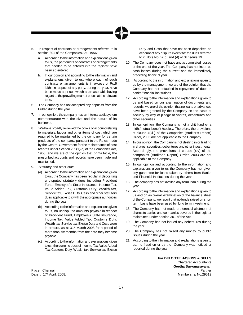- 5. In respect of contracts or arrangements referred to in section 301 of the Companies Act, 1956:
	- a. According to the information and explanations given to us, the particulars of contracts or arrangements that needed to be entered into the register have been so entered.
	- b. In our opinion and according to the information and explanations given to us, where each of such contracts or arrangements is in excess of Rs.5 lakhs in respect of any party, during the year, have been made at prices which are reasonable having regard to theprevailing market prices at the relevant time.
- 6. The Company has not accepted any deposits from the Public during the year.
- 7. In our opinion, thecompany has an internal audit system commensurate with the size and the nature of its business.
- 8. We have broadly reviewed the books of account relating to materials, labour and other items of cost which are required to be maintained by the company for certain products of the company, pursuant to the Rules made by the Central Government for the maintenance of cost records under Section 209(1)(d) of the Companies Act, 1956, and we are of the opinion that prima facie, the prescribed accounts and records have been made and maintained.
- 9. Statutory and other dues
	- (a) According to the information and explanations given to us, the Company has been regular in depositing undisputed statutory dues including Provident Fund, Employee's State Insurance, Income Tax, Value Added Tax, Customs Duty, Wealth tax, Service tax, Excise Duty, Cess and other statutory dues applicable to it with the appropriate authorities during the year.
	- (b) According to the information and explanations given to us, no undisputed amounts payable in respect of Provident Fund, Employee's State Insurance, Income Tax, Value Added Tax, Customs Duty, Wealth tax, Service tax, Excise Duty and Cess were in arrears, as at 31<sup>st</sup> March 2008 for a period of more than six months from the date they became payable.
	- (c) According to the information and explanations given to us, there are no dues of Income Tax, Value Added Tax, Customs Duty, Wealth tax, Service tax, Excise

Date: 17th April, 2008.

Duty and Cess that have not been deposited on account of any dispute except for the dues referred to in Note No.B2(c) and (d) of Schedule 19.

- 10. The Company does not have any accumulated losses at the end of the year. The Company has not incurred cash losses during the current and the immediately preceding financial year.
- 11. According to the information and explanations given to us by the management, we are of the opinion that the Company has not defaulted in repayment of dues to banks/financial institutions.
- 12. According to the information and explanations given to us and based on our examination of documents and records, we are of the opinion that no loans or advances have been granted by the Company on the basis of security by way of pledge of shares, debentures and other securities.
- 13. In our opinion, the Company is not a chit fund or a nidhi/mutual benefit /society. Therefore, the provisions of clause 4(xiii) of the Companies (Auditor's Report) Order, 2003 are not applicable to the Company.
- 14. In our opinion, the Company is not dealing in or trading in shares, securities, debentures and other investments. Accordingly, the provisions of clause (xiv) of the companies (Auditor's Report) Order, 2003 are not applicable to the Company.
- 15. In our opinion and according to the information and explanations given to us the Company has not given any guarantee for loans taken by others from Banks and Financial Institutions during the year.
- 16. The company has not availed any term loan during the year.
- 17. According to the information and explanations given to us and on an overall examination of the balance sheet of the Company, we report that no funds raised on short term basis have been used for long term investment.
- 18. The Company has not made preferential allotment of shares to parties and companies covered in the register maintained under section 301 of the Act.
- 19. The Company has not issued any debentures during the year.
- 20. The Company has not raised any money by public issues during the year.
- 21. According to the information and explanations given to us, no fraud on or by the Company was noticed or reported during the year.

**For DELOITTE HASKINS & SELLS** Chartered Accountants **Geetha Suryanarayanan** Place : Chennai Partner et al. 2009 et al. 2009 et al. 2009 et al. 2009 et al. 2009 et al. 2009 et al. 2009 et Membership No.29519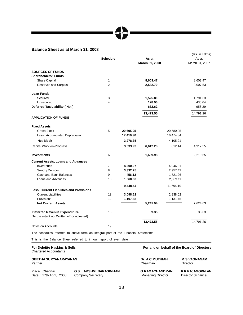# **Balance Sheet as at March 31, 2008**

|                                                 |                 |           |                |           | (Rs. in Lakhs) |
|-------------------------------------------------|-----------------|-----------|----------------|-----------|----------------|
|                                                 | <b>Schedule</b> |           | As at          |           | As at          |
|                                                 |                 |           | March 31, 2008 |           | March 31, 2007 |
| <b>SOURCES OF FUNDS</b>                         |                 |           |                |           |                |
| <b>Shareholders' Funds</b>                      |                 |           |                |           |                |
| <b>Share Capital</b>                            | 1               |           | 8,603.47       |           | 8,603.47       |
| Reserves and Surplus                            | $\overline{2}$  |           | 2,582.70       |           | 3,007.53       |
| <b>Loan Funds</b>                               |                 |           |                |           |                |
| Secured                                         | 3               |           | 1,525.80       |           | 1,791.33       |
| Unsecured                                       | 4               |           | 128.96         |           | 430.64         |
| Deferred Tax Liability (Net)                    |                 |           | 632.62         |           | 958.29         |
| <b>APPLICATION OF FUNDS</b>                     |                 |           | 13,473.55      |           | 14,791.26      |
|                                                 |                 |           |                |           |                |
| <b>Fixed Assets</b>                             |                 |           |                |           |                |
| Gross Block                                     | 5               | 20,695.25 |                | 20,580.05 |                |
| Less: Accumulated Depreciation                  |                 | 17,416.90 |                | 16,474.84 |                |
| <b>Net Block</b>                                |                 | 3,278.35  |                | 4,105.21  |                |
| Capital Work -in-Progress                       |                 | 3,333.93  | 6,612.28       | 812.14    | 4,917.35       |
| <b>Investments</b>                              | 6               |           | 1,609.98       |           | 2,210.65       |
| <b>Current Assets, Loans and Advances</b>       |                 |           |                |           |                |
| Inventories                                     | 7               | 4,300.07  |                | 4,946.31  |                |
| <b>Sundry Debtors</b>                           | 8               | 3,332.25  |                | 2,957.42  |                |
| Cash and Bank Balances                          | 9               | 456.12    |                | 1,721.26  |                |
| Loans and Advances                              | 10              | 1,360.00  |                | 2,069.11  |                |
|                                                 |                 | 9,448.44  |                | 11,694.10 |                |
| <b>Less: Current Liabilities and Provisions</b> |                 |           |                |           |                |
| <b>Current Liabilities</b>                      | 11              | 3,098.62  |                | 2,938.02  |                |
| Provisions                                      | 12              | 1,107.88  |                | 1,131.45  |                |
| <b>Net Current Assets</b>                       |                 |           | 5,241.94       |           | 7,624.63       |
| <b>Deferred Revenue Expenditure</b>             | 13              |           | 9.35           |           | 38.63          |
| (To the extent not Written off or adjusted)     |                 |           |                |           |                |
|                                                 |                 |           | 13,473.55      |           | 14,791.26      |
| Notes on Accounts                               | 19              |           |                |           |                |

The schedules referred to above form an integral part of the Financial Statements

This is the Balance Sheet referred to in our report of even date

# Chartered Accountants

# **GEETHA SURYANARAYANAN Dr. A C MUTHIAH M.SIVAGNANAM** Partner Chairman Director (Chairman Director Chairman Director Chairman Director

| Place: Chennai          | G.S. LAKSHMI NARASIMHAN | <b>G RAMACHANDRAN</b> | K K RAJAGOPALAN    |
|-------------------------|-------------------------|-----------------------|--------------------|
| Date: 17th April, 2008. | Company Secretary       | Managing Director     | Director (Finance) |

# **For Deloitte Haskins & Sells For and on behalf of the Board of Directors**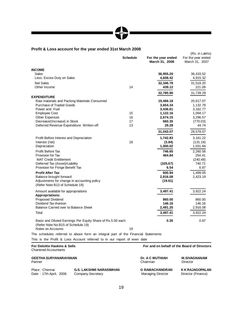# **Profit & Loss account for the year ended 31st March 2008**

|                                                                                                   | <b>Schedule</b> | For the year ended<br>March 31, 2008 | (Rs. in Lakhs)<br>For the year ended<br>March 31, 2007 |
|---------------------------------------------------------------------------------------------------|-----------------|--------------------------------------|--------------------------------------------------------|
| <b>INCOME</b>                                                                                     |                 |                                      |                                                        |
| Sales                                                                                             |                 | 36,955.20                            | 36,433.52                                              |
| Less: Excise Duty on Sales                                                                        |                 | 4,608.42                             | 4,915.32                                               |
| <b>Net Sales</b>                                                                                  |                 | 32,346.78                            | 31,518.20                                              |
| Other Income                                                                                      | 14              | 439.12                               | 221.09                                                 |
|                                                                                                   |                 | 32,785.90                            | 31,739.29                                              |
| <b>EXPENDITURE</b>                                                                                |                 |                                      |                                                        |
| Raw materials and Packing Materials Consumed                                                      |                 | 19,466.18                            | 20,617.07                                              |
| Purchase of Traded Goods                                                                          |                 | 3,654.34                             | 1,132.78                                               |
| Power and Fuel                                                                                    |                 | 3,436.61                             | 3,162.77                                               |
| <b>Employee Cost</b>                                                                              | 15              | 1,122.16                             | 1,094.17                                               |
| <b>Other Expenses</b>                                                                             | 16              | 2,674.15                             | 3,296.57                                               |
| Decrease/(Increase) in Stock                                                                      | 17              | 660.35                               | (770.03)                                               |
| Deferred Revenue Expenditure Written-off                                                          | 13              | 29.28                                | 44.74                                                  |
|                                                                                                   |                 | 31,043.07                            | 28,578.07                                              |
| Profit Before Interest and Depreciation                                                           |                 | 1,742.83                             | 3,161.22                                               |
| Interest (net)                                                                                    | 18              | (3.84)                               | (131.18)                                               |
| Depreciation                                                                                      |                 | 1,000.02                             | 1,031.84                                               |
| Profit Before Tax                                                                                 |                 | 746.65                               | 2,260.56                                               |
| Provision for Tax                                                                                 |                 | 464.84                               | 254.41                                                 |
| <b>MAT Credit Entitlement</b>                                                                     |                 |                                      | (240.48)                                               |
| Deferred Tax (Asset)/Liability                                                                    |                 | (325.67)                             | 740.71                                                 |
| Provision for Fringe Benefit Tax                                                                  |                 | 6.54                                 | 6.87                                                   |
| <b>Profit After Tax</b>                                                                           |                 | 600.94                               | 1,499.05                                               |
| Balance brought forward                                                                           |                 | 2,916.08                             | 2,423.19                                               |
| Adjustments for change in accounting policy<br>(Refer Note B13 of Schedule 19)                    |                 | (19.61)                              |                                                        |
| Amount available for appropriations<br><b>Appropriations:</b>                                     |                 | 3,497.41                             | 3,922.24                                               |
| <b>Proposed Dividend</b>                                                                          |                 | 860.00                               | 860.00                                                 |
| Dividend Tax thereon                                                                              |                 | 146.16                               | 146.16                                                 |
| Balance Carried over to Balance Sheet                                                             |                 | 2,491.25                             | 2,916.08                                               |
| Total                                                                                             |                 | 3,497.41                             | 3,922.24                                               |
| Basic and Diluted Earnings Per Equity Share of Rs.5.00 each<br>(Refer Note No.B15 of Schedule 19) |                 | 0.35                                 | 0.87                                                   |
| Notes on Accounts                                                                                 | 19              |                                      |                                                        |
| The schedules referred to above form an integral part of the Financial Statements                 |                 |                                      |                                                        |
| This is the Profit & Loss Account referred to in our report of even date                          |                 |                                      |                                                        |

# **For Deloitte Haskins & Sells For and on behalf of the Board of Directors** Chartered Accountants

| <b>GEETHA SURYANARAYANAN</b> |                                | <b>Dr. A C MUTHIAH</b> | <b>M.SIVAGNANAM</b> |
|------------------------------|--------------------------------|------------------------|---------------------|
| Partner                      |                                | Chairman               | Director            |
| Place: Chennai               | <b>G.S. LAKSHMI NARASIMHAN</b> | <b>G RAMACHANDRAN</b>  | K K RAJAGOPALAN     |
| Date: 17th April. 2008.      | Company Secretary              | Managing Director      | Director (Finance)  |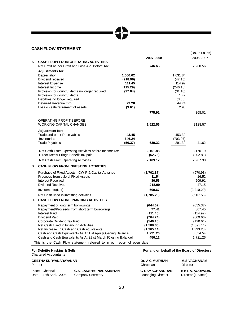# **CASH FLOW STATEMENT**

|    |                                                                        |                     |                        |                     | (Rs. in Lakhs)         |
|----|------------------------------------------------------------------------|---------------------|------------------------|---------------------|------------------------|
| А. | <b>CASH FLOW FROM OPERATING ACTIVITIES</b>                             |                     | 2007-2008              |                     | 2006-2007              |
|    | Net Profit as per Profit and Loss A/c Before Tax                       |                     | 746.65                 |                     | 2,260.56               |
|    | <b>Adjustments for:</b>                                                |                     |                        |                     |                        |
|    | Depreciation                                                           | 1,000.02            |                        | 1,031.84            |                        |
|    | Dividend received                                                      | (218.90)            |                        | (47.15)             |                        |
|    | Interest Expense                                                       | 111.45              |                        | 114.92              |                        |
|    | Interest Income<br>Provision for doubtful debts no longer required     | (115.29)<br>(27.04) |                        | (246.10)<br>(31.18) |                        |
|    | Provision for doubtful debts                                           |                     |                        | 1.42                |                        |
|    | Liabilities no longer required                                         |                     |                        | (3.38)              |                        |
|    | Deferred Revenue Exp.                                                  | 29.28               |                        | 44.74               |                        |
|    | Loss on sale/retirement of assets                                      | (3.61)              |                        | 2.90                |                        |
|    |                                                                        |                     | 775.91                 |                     | 868.01                 |
|    | OPERATING PROFIT BEFORE                                                |                     |                        |                     |                        |
|    | <b>WORKING CAPITAL CHANGES</b>                                         |                     | 1,522.56               |                     | 3128.57                |
|    | <b>Adjustment for:</b>                                                 |                     |                        |                     |                        |
|    | Trade and other Receivables<br>Inventories                             | 43.45               |                        | 453.39              |                        |
|    | <b>Trade Payables</b>                                                  | 646.24<br>(50.37)   | 639.32                 | (703.07)<br>291.30  | 41.62                  |
|    |                                                                        |                     |                        |                     |                        |
|    | Net Cash From Operating Activities before Income Tax                   |                     | 2,161.88               |                     | 3,170.19               |
|    | Direct Taxes/ Fringe Benefit Tax paid                                  |                     | (52.76)                |                     | (202.81)               |
|    | Net Cash From Operating Activities                                     |                     | 2,109.12               |                     | 2,967.38               |
| В. | <b>CASH FLOW FROM INVESTING ACTIVITIES</b>                             |                     |                        |                     |                        |
|    | Purchase of Fixed Assets, CWIP & Capital Advance                       |                     | (2,702.87)             |                     | (970.93)               |
|    | Proceeds from sale of Fixed Assets                                     |                     | 11.54                  |                     | 16.52                  |
|    | Interest Received                                                      |                     | 86.56                  |                     | 209.91                 |
|    | Dividend Received                                                      |                     | 218.90                 |                     | 47.15                  |
|    | Investments(Net)                                                       |                     | 600.67                 |                     | (2, 210.20)            |
|    | Net Cash used in investing activities                                  |                     | (1,785.20)             |                     | (2,907.55)             |
| C. | <b>CASH FLOW FROM FINANCING ACTIVITIES</b>                             |                     |                        |                     |                        |
|    | Repayment of long term borrowings                                      |                     | (644.62)               |                     | (655.37)               |
|    | Repayment/Proceeds from short term borrowings                          |                     | 77.41                  |                     | 307.45                 |
|    | <b>Interest Paid</b>                                                   |                     | (111.45)               |                     | (114.92)               |
|    | Dividend Paid                                                          |                     | (764.24)               |                     | (809.66)               |
|    | Corporate Dividend Tax Paid<br>Net Cash Used in Financing Activities   |                     | (146.16)<br>(1,589.06) |                     | (120.61)<br>(1,393.11) |
|    | Net Increase in Cash and Cash equivalents                              |                     | (1, 265.14)            |                     | (1,333.28)             |
|    | Cash and Cash Equivalents As At 1 st April [Opening Balance]           |                     | 1,721.26               |                     | 3,054.54               |
|    | Cash and Cash Equivalents As At 31 st March [Closing Balance]          |                     | 456.12                 |                     | 1,721.26               |
|    | This is the Cash Flow statement referred to in our report of even date |                     |                        |                     |                        |

# Chartered Accountants

# **GEETHA SURYANARAYANAN**<br>Partner Clear Clear Clear Clear Clear Clear Clear Clear Clear Clear Clear Clear Clear Clear Clear Clear Clear Clear Clear Clear Clear Clear Clear Clear Clear Clear Clear Clear Clear Clear Clear Clea

| Place: Chennai          | <b>G.S. LAKSHMI NARASIMHAN</b> | <b>G RAMACHANDRAN</b> | K K RAJAGOPALAN    |
|-------------------------|--------------------------------|-----------------------|--------------------|
| Date: 17th April, 2008. | Company Secretary              | Managing Director     | Director (Finance) |

# **For Deloitte Haskins & Sells For and on behalf of the Board of Directors**

| GEETHA SURYANARAYANAN   |                                | <b>Dr. A C MUTHIAH</b> | M.SIVAGNANAM       |
|-------------------------|--------------------------------|------------------------|--------------------|
| Partner                 |                                | Chairman               | Director           |
| Place : Chennai         | <b>G.S. LAKSHMI NARASIMHAN</b> | <b>G RAMACHANDRAN</b>  | K K RAJAGOPALA     |
| Date: 17th April, 2008. | Company Secretary              | Managing Director      | Director (Finance) |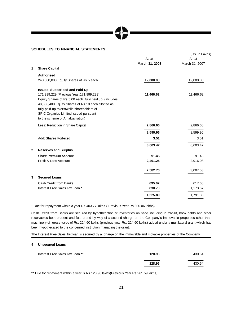# **SCHEDULES TO FINANCIAL STATEMENTS**

|   |                                                                                                                                                                                                                                                                                   | As at<br>March 31, 2008 | (Rs. in Lakhs)<br>As at<br>March 31, 2007 |
|---|-----------------------------------------------------------------------------------------------------------------------------------------------------------------------------------------------------------------------------------------------------------------------------------|-------------------------|-------------------------------------------|
| 1 | <b>Share Capital</b>                                                                                                                                                                                                                                                              |                         |                                           |
|   | <b>Authorised</b>                                                                                                                                                                                                                                                                 |                         |                                           |
|   | 240,000,000 Equity Shares of Rs.5 each.                                                                                                                                                                                                                                           | 12,000.00               | 12,000.00                                 |
|   | <b>Issued, Subscribed and Paid Up</b>                                                                                                                                                                                                                                             |                         |                                           |
|   | 171,999,229 (Previous Year: 171,999,229)<br>Equity Shares of Rs.5.00 each fully paid up. (includes<br>48,608,400 Equity Shares of Rs.10 each allotted as<br>fully paid-up to erstwhile shareholders of<br>SPIC Organics Limited issued pursuant<br>to the scheme of Amalgamation) | 11,466.62               | 11,466.62                                 |
|   | Less: Reduction in Share Capital                                                                                                                                                                                                                                                  | 2,866.66                | 2,866.66                                  |
|   |                                                                                                                                                                                                                                                                                   | 8,599.96                | 8,599.96                                  |
|   | Add: Shares Forfeited                                                                                                                                                                                                                                                             | 3.51                    | 3.51                                      |
|   |                                                                                                                                                                                                                                                                                   | 8,603.47                | 8,603.47                                  |
| 2 | <b>Reserves and Surplus</b>                                                                                                                                                                                                                                                       |                         |                                           |
|   | Share Premium Account                                                                                                                                                                                                                                                             | 91.45                   | 91.45                                     |
|   | Profit & Loss Account                                                                                                                                                                                                                                                             | 2,491.25                | 2,916.08                                  |
|   |                                                                                                                                                                                                                                                                                   | 2,582.70                | 3,007.53                                  |
| 3 | <b>Secured Loans</b>                                                                                                                                                                                                                                                              |                         |                                           |
|   | Cash Credit from Banks                                                                                                                                                                                                                                                            | 695.07                  | 617.66                                    |
|   | Interest Free Sales Tax Loan *                                                                                                                                                                                                                                                    | 830.73                  | 1,173.67                                  |
|   |                                                                                                                                                                                                                                                                                   | 1,525.80                | 1,791.33                                  |
|   |                                                                                                                                                                                                                                                                                   |                         |                                           |

\* Due for repayment within a year Rs.403.77 lakhs ( Previous Year Rs.300.06 lakhs)

Cash Credit from Banks are secured by hypothecation of inventories on hand including in transit, book debts and other receivables both present and future and by way of a second charge on the Company's immovable properties other than machinery of gross value of Rs. 224.60 lakhs (previous year Rs. 224.60 lakhs) added under a multilateral grant which has been hypothecated to the concerned institution managing the grant.

The Interest Free Sales Tax loan is secured by a charge on the immovable and movable properties of the Company.

# **4 Unsecured Loans**

| Interest Free Sales Tax Loan ** | 128.96 | 430.64 |
|---------------------------------|--------|--------|
|                                 | 128.96 | 430.64 |

\*\* Due for repayment within a year is Rs.128.96 lakhs(Previous Year Rs.261.59 lakhs)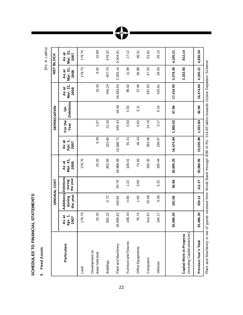# SCHEDULES TO FINANCIAL STATEMENTS **SCHEDULES TO FINANCIAL STATEMENTS**

**5** Fixed Assets **Fixed Assets**

(Rs. in Lakhs)

|                                                          |                          |                                 | <b>ORIGINAL COST</b>                   |                                                   |                          |                 | <b>DEPRECIATION</b>   |                                          |                           | <b>NET BLOCK</b>          |
|----------------------------------------------------------|--------------------------|---------------------------------|----------------------------------------|---------------------------------------------------|--------------------------|-----------------|-----------------------|------------------------------------------|---------------------------|---------------------------|
| <b>Particulars</b>                                       | As at<br>Apr. 1,<br>2007 | Additions<br>the year<br>during | <b>Deletions</b><br>the year<br>during | Mar. 31,<br>As at<br>2008                         | Apr. 1,<br>As at<br>2007 | For the<br>Year | <b>Deletions</b><br>δ | Mar. 31,<br>As at<br>2008                | Mar. 31,<br>As at<br>2008 | Mar. 31,<br>As at<br>2007 |
| Land                                                     | 179.75                   |                                 |                                        | 179.75                                            | $\blacksquare$           |                 |                       | ï                                        | 179.75                    | 179.75                    |
| Development on<br>lease hold land                        | 20.25                    |                                 |                                        | 20.25                                             | 9.36                     | 1.07            |                       | 10.43                                    | 9.82                      | 10.89                     |
| <b>Buildings</b>                                         | 802.22                   | 0.72                            |                                        | 802.94                                            | 323.90                   | 21.34           |                       | 345.24                                   | 457.70                    | 478.32                    |
| Plant and Machinery                                      | 8,893.62                 | 150.84                          | 55.78                                  | 18,988.68                                         | 15,588.71                | 943.43          | 48.60                 | 16,483.54                                | 2,505.14                  | 3,304.91                  |
| Furniture and Fixtures                                   | 108.43                   | 0.80                            | 1.22                                   | 108.01                                            | 91.31                    | 5.63            | 0.92                  | 96.02                                    | 11.99                     | 17.12                     |
| Office Equipments                                        | 76.74                    | 1.65                            | 3.56                                   | 74.83                                             | 40.43                    | 0.62            | 3.11                  | 37.94                                    | 36.89                     | 36.31                     |
| Computers                                                | 314.87                   | 20.48                           |                                        | 335.35                                            | 263.06                   | 24.76           |                       | 287.82                                   | 47.53                     | 51.81                     |
| Vehicles                                                 | 184.17                   | 6.59                            | 5.32                                   | 185.44                                            | 158.07                   | 3.17            | 5.33                  | 155.91                                   | 29.53                     | 26.10                     |
|                                                          | 20,580.05                | 181.08                          | 65.88                                  | 20,695.25                                         | 16,474.84                | 1,000.02        | 57.96                 | 17,416.90                                | 3,278.35                  | 4,105.21                  |
| (including Capital advances)<br>Capital Work-in-Progress |                          |                                 |                                        |                                                   |                          |                 |                       |                                          | 3,333.93                  | 812.14                    |
| Previous Year's Total                                    | 20,466.30                | 226.12                          | 112.37                                 | 20,580.05                                         | 15,535.96                | 1,031.84        | 92.96                 | 16,474.84                                | 4,105.21                  | 4,930.34                  |
| Diant and Machinary is not a                             |                          |                                 |                                        | arate room de from Ward Dool through an IDD of Do |                          |                 |                       | control loka toward Orac Doobiton Sobomo |                           |                           |

Plant and Mercinos to their constructs of Ks. 224.60 hpp. The construction of Ks. 224.60 hpp. 224.60 hpp. 224.60 hpp. 224.60 hpp. 224.60 hpp. 224.60 hpp. 224.60 hpp. 224.60 hpp. 224.60 hpp. 224.60 hpp. 2010 hpp. 2010 hpp. Plant and Machinery is net of grants received from World Bank through IDBI of Rs. 224.60 lakhs towards Ozone Depletion Scheme.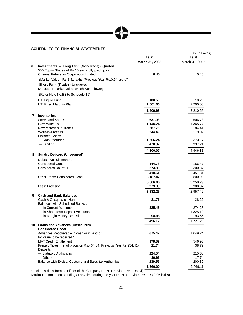# APL

# **SCHEDULES TO FINANCIAL STATEMENTS**

|   |                                                                                                                                           | As at          | (Rs. in Lakhs)<br>As at |
|---|-------------------------------------------------------------------------------------------------------------------------------------------|----------------|-------------------------|
|   |                                                                                                                                           | March 31, 2008 | March 31, 2007          |
| 6 | Investments - Long Term (Non-Trade) - Quoted<br>500 Equity Shares of Rs 10 each fully paid up in<br>Chennai Petroleum Corporation Limited | 0.45           | 0.45                    |
|   | (Market Value - Rs.1.41 lakhs [Previous Year Rs.0.94 lakhs])                                                                              |                |                         |
|   | Short Term (Trade) - Unquoted                                                                                                             |                |                         |
|   | (At cost or market value, whichever is lower)                                                                                             |                |                         |
|   | (Refer Note No.B3 to Schedule 19)                                                                                                         |                |                         |
|   | UTI Liquid Fund                                                                                                                           | 108.53         | 10.20                   |
|   | UTI Fixed Maturity Plan                                                                                                                   | 1,501.00       | 2,200.00                |
|   |                                                                                                                                           | 1,609.98       | 2,210.65                |
| 7 | <b>Inventories</b>                                                                                                                        |                |                         |
|   | Stores and Spares                                                                                                                         | 637.03         | 506.73                  |
|   | <b>Raw Materials</b>                                                                                                                      | 1,146.24       | 1,365.74                |
|   | Raw Materials in Transit                                                                                                                  | 287.75         | 184.44                  |
|   | Work-in-Process                                                                                                                           | 244.49         | 179.02                  |
|   | <b>Finished Goods</b>                                                                                                                     |                |                         |
|   | - Manufacturing                                                                                                                           | 1,506.24       | 2,373.17                |
|   | $-$ Trading                                                                                                                               | 478.32         | 337.21                  |
|   |                                                                                                                                           | 4,300.07       | 4,946.31                |
| 8 | <b>Sundry Debtors (Unsecured)</b>                                                                                                         |                |                         |
|   | Debts over Six months                                                                                                                     |                |                         |
|   | <b>Considered Good</b>                                                                                                                    | 144.78         | 156.47                  |
|   | <b>Considered Doubtful</b>                                                                                                                | 273.83         | 300.87                  |
|   |                                                                                                                                           | 418.61         | 457.34                  |
|   | <b>Other Debts Considered Good</b>                                                                                                        | 3,187.47       | 2,800.95                |
|   |                                                                                                                                           | 3,606.08       | 3,258.29                |
|   | Less: Provision                                                                                                                           | 273.83         | 300.87                  |
|   |                                                                                                                                           | 3,332.25       | 2,957.42                |
| 9 | <b>Cash and Bank Balances</b>                                                                                                             |                |                         |
|   | Cash & Cheques on Hand                                                                                                                    | 31.76          | 28.22                   |
|   | <b>Balances with Scheduled Banks:</b>                                                                                                     | 325.43         | 274.28                  |
|   | — in Current Accounts<br>- in Short Term Deposit Accounts                                                                                 |                | 1,325.10                |
|   | - in Margin Money Deposits                                                                                                                | 98.93          | 93.66                   |
|   |                                                                                                                                           | 456.12         | 1,721.26                |
|   | 10 Loans and Advances (Unsecured)                                                                                                         |                |                         |
|   | <b>Considered Good</b>                                                                                                                    |                |                         |
|   | Advances Recoverable in cash or in kind or                                                                                                | 675.42         | 1,049.24                |
|   | for value to be received *                                                                                                                |                |                         |
|   | <b>MAT Credit Entitlement</b>                                                                                                             | 178.82         | 546.93                  |
|   | Prepaid Taxes (net of provision Rs.464.84; Previous Year Rs.254.41)                                                                       | 21.74          | 38.72                   |
|   | Deposits<br>- Statutory Authorities                                                                                                       | 224.54         | 215.68                  |
|   | $-$ Others                                                                                                                                | 19.93          | 17.74                   |
|   | Balance with Excise, Customs and Sales tax Authorities                                                                                    | 239.55         | 200.80                  |
|   |                                                                                                                                           | 1,360.00       | 2,069.11                |
|   |                                                                                                                                           |                |                         |

\* Includes dues from an officer of the Company Rs.Nil (Previous Year Rs.Nil)

Maximum amount outstanding at any time during the year Rs.Nil (Previous Year Rs.0.06 lakhs)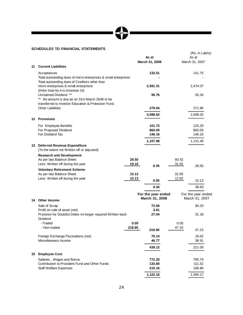# 

# **SCHEDULES TO FINANCIAL STATEMENTS**

|    |                                                                                                                                        |                | As at<br>March 31, 2008              |                | (Rs. in Lakhs)<br>As at<br>March 31, 2007 |
|----|----------------------------------------------------------------------------------------------------------------------------------------|----------------|--------------------------------------|----------------|-------------------------------------------|
| 11 | <b>Current Liabilities</b>                                                                                                             |                |                                      |                |                                           |
|    | Acceptances<br>Total outstanding dues of micro enterprises & small enterprises                                                         |                | 132.51                               |                | 141.75                                    |
|    | Total outstanding dues of Creditors other than<br>micro enterprises & small enterprises<br>(Refer Note No.4 to Schedule 19)            |                | 2,591.31                             |                | 2,474.07                                  |
|    | Unclaimed Dividend **<br>$***$<br>No amount is due as on 31st March 2008 to be<br>transferred to Investor Education & Protection Fund. |                | 95.76                                |                | 50.34                                     |
|    | <b>Other Liabilities</b>                                                                                                               |                | 279.04                               |                | 271.86                                    |
|    |                                                                                                                                        |                | 3,098.62                             |                | 2,938.02                                  |
|    | 12 Provisions                                                                                                                          |                |                                      |                |                                           |
|    | For Employee Benefits<br>For Proposed Dividend<br>For Dividend Tax                                                                     |                | 101.72<br>860.00<br>146.16           |                | 125.29<br>860.00<br>146.16                |
|    |                                                                                                                                        |                | 1,107.88                             |                | 1,131.45                                  |
|    | 13 Deferred Revenue Expenditure<br>(To the extent not Written off or adjusted)                                                         |                |                                      |                |                                           |
|    | <b>Research and Development</b><br>As per last Balance Sheet<br>Less: Written off during the year                                      | 28.50<br>19.15 | 9.35                                 | 60.42<br>31.92 | 28.50                                     |
|    | <b>Voluntary Retirement Scheme</b><br>As per last Balance Sheet<br>Less: Written off during the year                                   | 10.13<br>10.13 |                                      | 22.95<br>12.82 |                                           |
|    |                                                                                                                                        |                | 0.00                                 |                | 10.13                                     |
|    |                                                                                                                                        |                | 9.35                                 |                | 38.63                                     |
|    | 14 Other Income                                                                                                                        |                | For the year ended<br>March 31, 2008 |                | For the year ended<br>March 31, 2007      |
|    | Sale of Scrap                                                                                                                          |                | 72.66                                |                | 84.23                                     |
|    | Profit on sale of asset (net)<br>Provision for Doubtful Debts no longer required Written back<br>Dividend                              |                | 3.61<br>27.04                        |                | 31.18                                     |
|    | -Traded<br>- Non-traded                                                                                                                | 0.05<br>218.85 | 218.90                               | 0.05<br>47.10  | 47.15                                     |
|    | Foreign Exchange Fluctuations (net)                                                                                                    |                | 70.14                                |                | 19.62                                     |
|    | Miscellaneous Income                                                                                                                   |                | 46.77                                |                | 38.91                                     |
|    |                                                                                                                                        |                | 439.12                               |                | 221.09                                    |
| 15 | <b>Employee Cost</b>                                                                                                                   |                |                                      |                |                                           |
|    | Salaries, Wages and Bonus                                                                                                              |                | 772.20                               |                | 785.79                                    |
|    | Contribution to Provident Fund and Other Funds                                                                                         |                | 134.80                               |                | 111.52                                    |
|    | <b>Staff Welfare Expenses</b>                                                                                                          |                | 215.16                               |                | 196.86                                    |
|    |                                                                                                                                        |                | 1,122.16                             |                | 1,094.17                                  |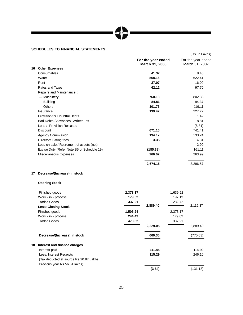# MPL

(Rs. in Lakhs)

# **SCHEDULES TO FINANCIAL STATEMENTS**

| <b>Other Expenses</b><br>Consumables<br>Water<br>Rent<br>Rates and Taxes<br>Repairs and Maintenance:<br>— Machinery<br>— Building<br>$-$ Others | March 31, 2008<br>41.37<br>568.16<br>27.07<br>62.12<br>760.13<br>84.81 | March 31, 2007<br>8.46<br>622.41<br>16.09<br>97.70<br>802.33 |
|-------------------------------------------------------------------------------------------------------------------------------------------------|------------------------------------------------------------------------|--------------------------------------------------------------|
|                                                                                                                                                 |                                                                        |                                                              |
|                                                                                                                                                 |                                                                        |                                                              |
|                                                                                                                                                 |                                                                        |                                                              |
|                                                                                                                                                 |                                                                        |                                                              |
|                                                                                                                                                 |                                                                        |                                                              |
|                                                                                                                                                 |                                                                        |                                                              |
|                                                                                                                                                 |                                                                        |                                                              |
|                                                                                                                                                 |                                                                        | 94.37                                                        |
|                                                                                                                                                 | 101.76                                                                 | 119.11                                                       |
| Insurance                                                                                                                                       | 139.42                                                                 | 227.72                                                       |
| Provision for Doubtful Debts                                                                                                                    |                                                                        | 1.42                                                         |
| Bad Debts / Advances Written -off                                                                                                               |                                                                        | 8.81                                                         |
| Less :- Provision Released                                                                                                                      |                                                                        | (8.81)                                                       |
| <b>Discount</b>                                                                                                                                 | 671.15                                                                 | 741.41                                                       |
| <b>Agency Commission</b>                                                                                                                        | 134.17                                                                 | 133.24                                                       |
| Directors Sitting fees                                                                                                                          | 3.35                                                                   | 4.31                                                         |
| Loss on sale / Retirement of assets (net)                                                                                                       |                                                                        | 2.90                                                         |
| Excise Duty (Refer Note B5 of Schedule 19)                                                                                                      | (185.38)                                                               | 161.11                                                       |
| Miscellaneous Expenses                                                                                                                          | 266.02                                                                 | 263.99                                                       |
|                                                                                                                                                 | 2,674.15                                                               | 3,296.57                                                     |
|                                                                                                                                                 | Decrease/(Increase) in stock                                           |                                                              |

# **Opening Stock**

| 2,373.17 |          | 1,639.52 |          |
|----------|----------|----------|----------|
| 179.02   |          | 197.13   |          |
| 337.21   |          | 282.72   |          |
|          | 2,889.40 |          | 2,119.37 |
| 1,506.24 |          | 2,373.17 |          |
| 244.49   |          | 179.02   |          |
| 478.32   |          | 337.21   |          |
|          | 2,229.05 |          | 2,889.40 |
|          | 660.35   |          | (770.03) |
|          |          |          |          |
|          | 111.45   |          | 114.92   |
|          | 115.29   |          | 246.10   |
|          |          |          |          |
|          |          |          |          |
|          | (3.84)   |          | (131.18) |
|          |          |          |          |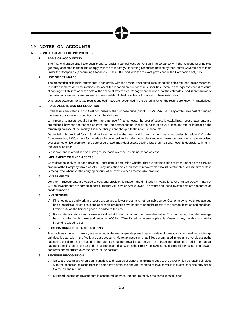# **19 NOTES ON ACCOUNTS**

# **A. SIGNIFICANT ACCOUNTING POLICIES**

# **1. BASIS OF ACCOUNTING**

The financial statements have been prepared under historical cost convention in accordance with the accounting principles generally accepted in India and comply with the mandatory Accounting Standards notified by the Central Government of India under the Companies (Accounting Standards) Rules, 2006 and with the relevant provisions of the Companies Act, 1956.

# **2. USE OF ESTIMATES**

The preparation of financial statements in conformity with the generally accepted accounting principles requires the management to make estimates and assumptions that affect the reported amount of assets, liabilities, revenue and expenses and disclosure of contingent liabilities as of the date of the financial statements. Management believes that the estimates used in preparation of the financial statements are prudent and reasonable. Actual results could vary from these estimates.

Difference between the actual results and estimates are recognised in the period in which the results are known / materialised.

# **3. FIXED ASSETS AND DEPRECIATION**

Fixed assets are stated at cost. Cost comprises of the purchase price (net of CENVAT/VAT) and any attributable cost of bringing the assets to its working condition for its intended use.

With regard to assets acquired under hire purchase / finance lease, the cost of assets is capitalized. Lease payments are apportioned between the finance charges and the corresponding liability so as to achieve a constant rate of interest on the remaining balance of the liability. Finance charges are charged to the revenue accounts.

Depreciation is provided for on Straight Line method at the rates and in the manner prescribed under Schedule XIV of the CompaniesAct, 1956, except for moulds and wooden pallets included under plant and machinery, the cost of which are amortised over a period of five years from the date of purchase. Individual assets costing less than Rs.5000/- each is depreciated in full in the year of addition.

Leasehold land is amortised on a straight line basis over the remaining period of lease.

# **4. IMPAIRMENT OF FIXED ASSETS**

Consideration is given at each Balance Sheet date to determine whether there is any indication of impairment on the carrying amount of the Company's fixed assets. If any indication exists, an asset's recoverable amount is estimated. An impairment loss is recognized whenever the carrying amount of an asset exceeds recoverable amount.

# **5. INVESTMENTS**

Long term Investments are valued at cost and provision is made if the diminution in value is other than temporary in nature. Current investments are carried at cost or market value whichever is lower. The returns on these investments are accounted as dividend income.

# **6. INVENTORIES**

- a) Finished goods and work-in-process are valued at lower of cost and net realisable value. Cost on moving weighted average basis includes all direct costs and applicable production overheads to bring the goods to the present location and condition. Excise duty on the finished goods is added to the cost.
- b) Raw materials, stores and spares are valued at lower of cost and net realisable value. Cost on moving weighted average basis includes freight, taxes and duties net of CENVAT/VAT credit wherever applicable. Customs duty payable on material in bond is added to cost.

# **7. FOREIGN CURRENCY TRANSACTIONS**

Transactions in foreign currency are recorded at the exchange rate prevailing on the date of transactions and realized exchange gain/loss is dealt with in the Profit and Loss account. Monetary assets and liabilities denominated in foreign currencies as at the balance sheet date are translated at the rate of exchange prevailing at the year-end. Exchange differences arising on actual payments/realisations and year-end restatements are dealt with in the Profit & Loss Account. The premium/discount on forward contracts are amortised over the period of the contract.

# **8. REVENUE RECOGNITION**

- a) Sales are recognised when significant risks and rewards of ownership are transferred to the buyer, which generally coincides with the despatch of goods from the company's premises and are recorded at Invoice value inclusive of excise duty net of Sales Tax and returns.
- b) Dividend Income on Investments is accounted for when the right to receive the same is established.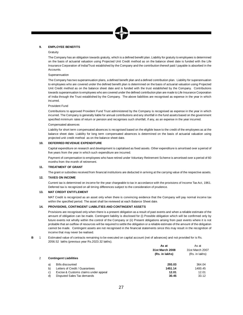# **9. EMPLOYEE BENEFITS**

# **Gratuity**

The Company has an obligation towards gratuity, which is a defined benefit plan. Liability for gratuity to employees is determined on the basis of actuarial valuation using Projected Unit Credit method as on the balance sheet date is funded with the Life Insurance Corporation of India/Trust established by the Company and the contribution thereof paid / payable is absorbed in the Accounts.

## Superannuation

The Company has two superannuation plans, a defined benefit plan and a defined contribution plan. Liability for superannuation to employees who are covered under the defined benefit plan is determined on the basis of actuarial valuation using Projected Unit Credit method as on the balance sheet date and is funded with the trust established by the Company. Contributions towards superannuation to employees who are covered under the defined contribution plan are made to Life Insurance Corporation of India through the Trust established by the Company. The above liabilities are recognised as expense in the year in which incurred.

# Provident Fund

Contributions to approved Provident Fund Trust administered by the Company is recognised as expense in the year in which incurred. The Company is generally liable for annual contributions and any shortfall in the fund assets based on the government specified minimum rates of return or pension and recognises such shortfall, if any, as an expense in the year incurred. Compensated absences

Liability for short term compensated absences is recognised based on the eligible leave to the credit of the employees as at the balance sheet date. Liability for long term compensated absences is determined on the basis of actuarial valuation using projected unit credit method as on the balance sheet date.

# **10. DEFERRED REVENUE EXPENDITURE**

Capital expenditure on research and development is capitalised as fixed assets. Other expenditure is amortised over a period of five years from the year in which such expenditure are incurred.

Payment of compensation to employees who have retired under Voluntary Retirement Scheme is amortised over a period of 60 months from the month of retirement.

# **11. TREATMENT OF GRANT**

The grant or subsidies received from financial institutions are deducted in arriving at the carrying value of the respective assets.

# **12. TAXES ON INCOME**

Current tax is determined on income for the year chargeable to tax in accordance with the provisions of Income Tax Act, 1961. Deferred tax is recognized on all timing differences subject to the consideration of prudence.

# **13. MAT CREDIT ENTITLEMENT**

MAT Credit is recognized as an asset only when there is convincing evidence that the Company will pay normal income tax within the specified period. The asset shall be reviewed at each Balance Sheet date.

# **14. PROVISIONS, CONTINGENT LIABILITIES AND CONTINGENT ASSETS**

Provisions are recognised only when there is a present obligation as a result of past events and when a reliable estimate of the amount of obligation can be made. Contingent liability is disclosed for (i) Possible obligation which will be confirmed only by future events not wholly within the control of the Company or (ii) Present obligations arising from past events where it is not probable that an outflow of resources will be required to settle the obligation or a reliable estimate of the amount of the obligation cannot be made. Contingent assets are not recognised in the financial statements since this may result in the recognition of income that may never be realised.

**B** 1 Estimated value of contracts remaining to be executed on capital account (net of advances) and not provided for is Rs. 2056.52 lakhs (previous year Rs.2023.32 lakhs).

|    |                                      | As at           | As at           |  |
|----|--------------------------------------|-----------------|-----------------|--|
|    |                                      | 31st March 2008 | 31st March 2007 |  |
|    |                                      | (Rs. in lakhs)  | (Rs. in lakhs)  |  |
|    | <b>Contingent Liabilities</b>        |                 |                 |  |
| a) | <b>Bills discounted</b>              | 293.03          | 364.04          |  |
| b) | Letters of Credit / Guarantees       | 1451.14         | 1400.45         |  |
| C) | Excise & Customs claims under appeal | 12.01           | 12.01           |  |
| d) | Disputed Sales Tax demands           | 30.45           | 33.12           |  |
|    |                                      |                 |                 |  |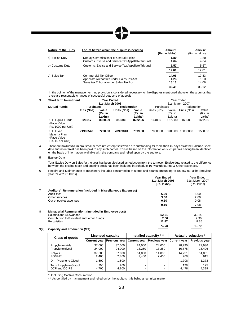| <b>Nature of the Dues</b> | Forum before which the dispute is pending                                                                            | Amount<br>(Rs. in lakhs)        | Amount<br>(Rs. in lakhs)        |
|---------------------------|----------------------------------------------------------------------------------------------------------------------|---------------------------------|---------------------------------|
| a) Excise Duty            | Deputy Commissioner of Central Excise<br>Customs, Excise and Service Tax Appellate Tribunal                          | 1.80<br>4.64                    | 1.80<br>4.64                    |
| b) Customs Duty           | Customs, Excise and Service Tax Appellate Tribunal                                                                   | 5.57<br>12.01                   | 5.57<br>12.01                   |
| c) Sales Tax              | <b>Commercial Tax Officer</b><br>Appellate Authorities under Sales Tax Act<br>Sales tax Tribunal under Sales Tax Act | 14.06<br>1.23<br>15.16<br>30.45 | 17.83<br>1.23<br>14.06<br>33.12 |

In the opinion of the management, no provision is considered necessary for the disputes mentioned above on the grounds that there are reasonable chances of successful outcome of appeals

| 3 | <b>Short term Investment</b>                                  |                  | <b>Year Ended</b>          |             |                            |             |                            | Year Ended      |                            |
|---|---------------------------------------------------------------|------------------|----------------------------|-------------|----------------------------|-------------|----------------------------|-----------------|----------------------------|
|   |                                                               |                  | 31st March 2008            |             |                            |             |                            | 31st March 2007 |                            |
|   | <b>Mutual Funds</b>                                           | <b>Purchases</b> |                            | Redemption  |                            | Purchases   |                            | Redemption      |                            |
|   |                                                               | Units (Nos)      | Value<br>(Rs. in<br>Lakhs) | Units (Nos) | Value<br>(Rs. in<br>Lakhs) | Units (Nos) | Value<br>(Rs. in<br>Lakhs) | Units (Nos)     | Value<br>(Rs. in<br>Lakhs) |
|   | <b>UTI Liquid Funds</b><br>(Face Value<br>Rs. 1000 per Unit)  | 826017           | 8320.39                    | 816386      | 8222.06                    | 164089      | 1672.80                    | 163089          | 1662.60                    |
|   | UTI Fixed<br>Maturity Plan<br>(Face Value<br>Rs. 10 per Unit) | 71998540         | 7200.00                    | 78999840    | 7899.00                    | 37000000    | 3700.00                    | 15000000        | 1500.00                    |

4 There are no dues to micro, small & medium enterprises which are outstanding for more than 45 days as at the Balance Sheet date and no interest has been paid to any such parties. This is based on the information on such parties having been identified on the basis of information available with the company and relied upon by the auditors.

# 5 **Excise Duty**

Total Excise Duty on Sales for the year has been disclosed as reduction from the turnover. Excise duty related to the difference between the closing stock and opening stock has been included in Schedule 16 "Manufacturing & Other Expenses."

6 Repairs and Maintenance to machinery includes consumption of stores and spares amounting to Rs.367.91 lakhs (previous year Rs.462.75 lakhs). **Year Ended** Year Ended

|   |                                                             | TEAL ENGEU<br>31st March 2008<br>(Rs. lakhs) | ital Eliutu<br>31st March 2007<br>(Rs. lakhs) |
|---|-------------------------------------------------------------|----------------------------------------------|-----------------------------------------------|
|   | Auditors' Remuneration (included in Miscellaneous Expenses) |                                              |                                               |
|   | Audit fees                                                  | 6.00                                         | 5.00                                          |
|   | Other services                                              | 3.00                                         | 2.00                                          |
|   | Out of pocket expenses                                      | 0.10                                         | 0.08                                          |
|   |                                                             | 9.10                                         | 7.08                                          |
| 8 | Managerial Remuneration : (Included in Employee cost)       |                                              |                                               |
|   | Salaries and Allowances                                     | 52.61                                        | 32.14                                         |
|   | Contribution to Provident and other Funds                   | 7.50                                         | 9.30                                          |
|   | Perquisites                                                 | 11.87                                        | 8.35                                          |
|   |                                                             | 71.98                                        | 49.79                                         |
|   |                                                             |                                              |                                               |

# 9(a) **Capacity and Production (MT)**

| Class of goods                          | Installed capacity * *<br><b>Licensed capacity</b> |                      | Actual production * |                      |                           |                  |
|-----------------------------------------|----------------------------------------------------|----------------------|---------------------|----------------------|---------------------------|------------------|
|                                         | <b>Current year</b>                                | <b>Previous year</b> | Current year        | <b>Previous year</b> | <b>Current year</b>       | Previous year    |
| Propylene oxide<br>Propylene glycol     | 37.000<br>24,000                                   | 37.000<br>24,000     | 24.000<br>13,250    | 24.000<br>13,250     | 28.290<br>16,875          | 27,936<br>16,426 |
| <b>Polvols</b><br><b>PGMME</b>          | 37,000<br>2,400                                    | 37.000<br>2,400      | 14,000<br>2,400     | 14,000<br>2,400      | 14,251<br>768             | 14,061<br>615    |
| Di - Propylene Glycol                   | 1.500                                              | 1,500                |                     |                      | 1.708                     | 1,273            |
| Tri - Propylene Glycol<br>DCP and DCIPE | 200<br>4,700                                       | 200<br>4,700         |                     |                      | 128 <sub>1</sub><br>4.478 | 125<br>4,329     |

\* Including Captive Consumption.

\* \* As certified by management and relied on by the auditors, this being a technical matter.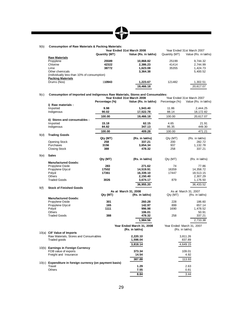# 9(b) **Consumption of Raw Materials & Packing Materials:**

|                                             |                      |                            | Year Ended 31st March 2007 |
|---------------------------------------------|----------------------|----------------------------|----------------------------|
| Quantity (MT)                               | Value (Rs. in lakhs) | Quantity (MT)              | Value (Rs. in lakhs)       |
|                                             |                      |                            |                            |
| 25589                                       | 10.868.82            | 25199                      | 9.744.32                   |
| 42322                                       | 2.386.23             | 41414                      | 2.744.99                   |
| 38772                                       | 1.623.08             | 35355                      | 1.424.73                   |
|                                             | 3.364.38             |                            | 5,400.52                   |
| (Individually less than 10% of consumption) |                      |                            |                            |
|                                             |                      |                            |                            |
| 110943                                      | 1.223.67             | 121482                     | 1,302.51                   |
|                                             | 19,466.18            |                            | 20.617.07                  |
|                                             |                      | Year Ended 31st March 2008 |                            |

## 9(c) **Consumption of Imported and Indigenous Raw Materials, Stores and Consumables:**

|      |                                                          |                | Year Ended 31st March 2008                  |                | Year Ended 31st March 2007                  |
|------|----------------------------------------------------------|----------------|---------------------------------------------|----------------|---------------------------------------------|
|      |                                                          | Percentage (%) | Value (Rs. in lakhs)                        | Percentage (%) | Value (Rs. in lakhs)                        |
|      | i) Raw materials:                                        |                |                                             |                |                                             |
|      | Imported                                                 | 9.98           | 1,943.40                                    | 11.86          | 2,444.25                                    |
|      | Indigenous                                               | 90.02          | 17,522.78                                   | 88.14          | 18,172.82                                   |
|      |                                                          | 100.00         | 19,466.18                                   | 100.00         | 20,617.07                                   |
|      | ii) Stores and consumables :                             |                |                                             |                |                                             |
|      | Imported                                                 | 15.18          | 62.15                                       | 4.65           | 21.91                                       |
|      | Indigenous                                               | 84.82          | 347.13                                      | 95.35          | 449.30                                      |
|      |                                                          | 100.00         | 409.28                                      | 100.00         | 471.21                                      |
| 9(d) | <b>Trading Goods</b>                                     |                |                                             |                |                                             |
|      |                                                          | Qty (MT)       | (Rs. in lakhs)                              | Qty (MT)       | (Rs. in lakhs)                              |
|      | <b>Opening Stock</b>                                     | 258            | 337.21                                      | 200            | 282.72                                      |
|      | Purchases                                                | 3156           | 3,654.34                                    | 937            | 1,132.78                                    |
|      | <b>Closing Stock</b>                                     | 388            | 478.32                                      | 258            | 337.21                                      |
| 9(e) | <b>Sales</b>                                             |                |                                             |                |                                             |
|      |                                                          | Qty (MT)       | (Rs. in lakhs)                              | Qty (MT)       | (Rs. in lakhs)                              |
|      | <b>Manufactured Goods:</b>                               |                |                                             |                |                                             |
|      | Propylene Oxide                                          | 283            | 271.62                                      | 74             | 77.86                                       |
|      | Propylene Glycol                                         | 17502          | 14,519.91                                   | 16359          | 14,358.72                                   |
|      | Polyol                                                   | 17361          | 16,339.10                                   | 17447          | 18,513.15                                   |
|      | <b>Others</b>                                            |                | 2,150.40                                    |                | 2,307.29                                    |
|      | <b>Traded Goods</b>                                      | 3026           | 3,674.17                                    | 879            | 1,176.50                                    |
|      |                                                          |                | 36,955.20                                   |                | 36,433.52                                   |
| 9(f) | <b>Stock of Finished Goods</b>                           |                |                                             |                |                                             |
|      |                                                          |                | As at March 31, 2008                        |                | As at March 31, 2007                        |
|      |                                                          | Qty (MT)       | (Rs. in lakhs)                              | Qty (MT)       | (Rs. in lakhs)                              |
|      | <b>Manufactured Goods:</b>                               |                |                                             |                |                                             |
|      | Propylene Oxide                                          | 301            | 260.28                                      | 228            | 186.60                                      |
|      | Propylene Glycol                                         | 165            | 142.97                                      | 899            | 657.14                                      |
|      | Polyol                                                   | 1111           | 996.98                                      | 1690           | 1,478.52                                    |
|      | <b>Others</b>                                            |                | 106.01                                      |                | 50.91                                       |
|      | <b>Traded Goods</b>                                      | 388            | 478.32                                      | 258            | 337.21                                      |
|      |                                                          |                | 1,984.56                                    |                | 2.710.38                                    |
|      |                                                          |                | Year Ended March 31, 2008<br>(Rs. in lakhs) |                | Year Ended March 31, 2007<br>(Rs. in lakhs) |
|      | 10(a) CIF Value of Imports                               |                |                                             |                |                                             |
|      | Raw Materials, Stores and Consumables                    |                | 2,220.10                                    |                | 3,811.26                                    |
|      | Traded goods                                             |                | 1,598.04                                    |                | 837.89                                      |
|      |                                                          |                | 3,818.14                                    |                | 4,649.15                                    |
|      | 10(b) Earnings in Foreign Currency                       |                |                                             |                |                                             |
|      | FOB value of exports                                     |                | 373.34                                      |                | 109.01                                      |
|      | Freight and Insurance                                    |                | 14.54                                       |                | 4.92                                        |
|      |                                                          |                | 387.88                                      |                | 113.93                                      |
|      | 10(c) Expenditure in foreign currency (on payment basis) |                |                                             |                |                                             |
|      | Travel                                                   |                | 1.29                                        |                | 2.63                                        |
|      | <b>Others</b>                                            |                | 7.55                                        |                | 0.81                                        |
|      |                                                          |                | 8.84                                        |                | 3.44                                        |
|      |                                                          |                |                                             |                |                                             |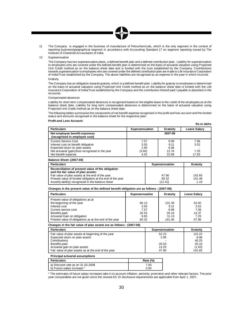11 The Company is engaged in the business of manufacture of Petrochemicals, which is the only segment in the context of reporting business/geographical segment in accordance with Accounting Standard 17 on segment reporting issued by The Institute of Chartered Accountants of India.

## 12 Superannuation

The Company has two superannuation plans, a defined benefit plan and a defined contribution plan. Liability for superannuation to employees who are covered under the defined benefit plan is determined on the basis of actuarial valuation using Projected Unit Credit method as on the balance sheet date and is funded with the trust established by the Company. Contributions towards superannuation to employees who are covered under the defined contribution plan are made to Life Insurance Corporation of India/Trust established by the Company. The above liabilities are recognised as an expense in the year in which incurred. **Gratuity** 

The Company has an obligation towards gratuity, which is a defined benefit plan. Liability for gratuity to employees is determined on the basis of actuarial valuation using Projected Unit Credit method as on the balance sheet date is funded with the Life Insurance Corporation of India/Trust established by the Company and the contribution thereof paid / payable is absorbed in the Accounts.

## Compensated absences

Liability for short term compensated absences is recognised based on the eligible leave to the credit of the employees as at the balance sheet date. Liability for long term compensated absences is determined on the basis of actuarial valuation using Projected Unit Credit method as on the balance sheet date.

The following tables summarise the components of net benefit expense recognised in the profit and loss account and the funded status and amounts recognised in the balance sheet for the respective plan:

# **Profit and Loss Account:**

|                                                                                                      |                      |                      | Rs.in lakhs         |
|------------------------------------------------------------------------------------------------------|----------------------|----------------------|---------------------|
| <b>Particulars</b>                                                                                   | Superannuation       | Gratuity             | <b>Leave Salary</b> |
| Net employee benefit expenses<br>(recognised in employee cost)                                       |                      | 2007-08              |                     |
| <b>Current Service Cost</b><br>Interest cost on benefit obligation<br>Expected return on plan assets | 7.57<br>3.50<br>2.95 | 9.99<br>9.11<br>8.96 | 7.06<br>3.52        |
| Net actuarial (gain)/loss recognised in the year<br>Net benefit expense                              | (3.60)<br>4.52       | 12.76<br>22.89       | 7.25<br>17.83       |

# **Balance Sheet: (2007-08)**

| <b>Particulars</b>                                        | <b>Superannuation</b> | Gratuity |
|-----------------------------------------------------------|-----------------------|----------|
| Reconciliation of present value of the obligation         |                       |          |
| and the fair value of plan assets:                        |                       |          |
| Fair value of plan assets at the end of the year          | 47.90                 | 142.65   |
| Present value of funded obligation at the end of the year | 60.32                 | 141.46   |
| Asset/(Liability) recognised in the balance sheet         | (12.42)               | 1.19     |

## **Changes in the present value of the defined benefit obligation are as follows : (2007-08)**

| <b>Particulars</b>                                                                                                                                                                                                  | Superannuation                                  | Gratuity                                           | <b>Leave Salary</b>                             |
|---------------------------------------------------------------------------------------------------------------------------------------------------------------------------------------------------------------------|-------------------------------------------------|----------------------------------------------------|-------------------------------------------------|
| Present value of obligations as at<br>the beginning of the year<br>Interest cost<br>Current service cost<br>Benefits paid<br>Actuarial Gain on obligation<br>Present value of obligations as at the end of the year | 60.13<br>3.50<br>7.57<br>20.53<br>9.65<br>60.32 | 131.39<br>9.11<br>9.99<br>20.16<br>11.13<br>141.46 | 53.50<br>3.52<br>7.06<br>13.37<br>7.25<br>57.96 |

## **Changes in the fair value of plan assets are as follows : (2007-08)**

| <b>Particulars</b>                                  | Superannuation | Gratuity |
|-----------------------------------------------------|----------------|----------|
| Fair value of plan assets at beginning of the year  | 52.23          | 115.22   |
| Expected return on plan assets                      | 2.95           | 8.96     |
| Contributions                                       |                | 40.25    |
| Benefits paid                                       | 20.53          | 20.16    |
| Actuarial gain on plan assets                       | 13.25          | (1.63)   |
| Fair value of plan assets as at the end of the year | 47.90          | 142.65   |

# **Principal actuarial assumptions**

| Particulars                       | Rate (%) |
|-----------------------------------|----------|
| a) Discount rate as on 31.03.2008 | 7.50     |
| b) Future salary increase *       | 3.50     |

\* The estimates of future salary increases take in to account inflation, seniority, promotion and other relevant factors. The prior year comparables are not given since the revised AS 15 disclosure requirements are applicable from April 1, 2007.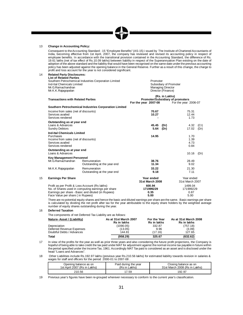# 13 **Change in Accounting Policy:**

Consequent to theAccounting Standard - 15 "Employee Benefits" (AS-15) i ssued by The Institute of Chartered Accountants of India, becoming effective from 1st April, 2007, the company has reviewed and revised its accounting policy in respect of employee benefits. In accordance with the transitional provision contained in the Accounting Standard, the difference of Rs. 19.61 lakhs (net of tax effect of Rs.10.09 lakhs) between liability in respect of the Superannuation Plan existing on the date of adoption of the above standard and the liability that would have been recognised on the same date under the previous accounting policy has been adjusted against the opening balance in the General Reserve. Further as a result of this change, the charge to profit and loss account for the year is not considered significant.

Managing Director

# 14 **Related Party Disclosures:**

**List of Related Parties** Southern Petrochemical Industries Corporation Limited<br>
Ind-Ital Chemicals Limited<br>
Promoter<br>
Subsidiary of Promoter Ind-Ital Chemicals Limited<br>Mr. G. Ramachandran

|    | Mr.K.K.Rajagopalan                                                                                                       | Director (Finance)                                       |                |                      |                               |  |
|----|--------------------------------------------------------------------------------------------------------------------------|----------------------------------------------------------|----------------|----------------------|-------------------------------|--|
|    | <b>Transactions with Related Parties</b>                                                                                 | Promoter/Subsidiary of promoters<br>For the year 2007-08 | (Rs. in Lakhs) | For the year 2006-07 |                               |  |
|    |                                                                                                                          | Southern Petrochemical Industries Corporation Limited    |                |                      |                               |  |
|    | Income from sales (net of discounts)<br>Services availed<br>Services rendered                                            |                                                          | 70.67<br>10.27 |                      | 75.31<br>12.44<br>1.73        |  |
|    | Outstanding as at year end<br>Loans & Advances<br><b>Sundry Debtors</b>                                                  |                                                          | 45.45<br>5.64  | (Dr)<br>(Dr)         | 4.32<br>(Cr)<br>17.02<br>(Dr) |  |
|    | Ind-Ital Chemicals Limited<br>Purchases<br>Income from sales (net of discounts)<br>Services availed<br>Services rendered |                                                          | 14.95          |                      | 1.70<br>1.39<br>4.73<br>0.84  |  |
|    | Outstanding as at year end<br>Loans & Advances                                                                           |                                                          |                |                      | 10.16<br>(Dr)                 |  |
|    | <b>Key Management Personnel</b><br>Mr. G. Ramachandran                                                                   | Remuneration<br>Outstanding at the year end              | 38.76<br>11.34 |                      | 28.49<br>9.02                 |  |
|    | Mr.K.K.Rajagopalan                                                                                                       | Remuneration<br>Outstanding at the year end              | 33.22<br>9.18  |                      | 21.30<br>7.11                 |  |
| 15 | <b>Earnings Per Share</b>                                                                                                |                                                          | Year ended     |                      | Year ended                    |  |

| 31st March 2008 | 31st March 2007 |
|-----------------|-----------------|
| 600.94          | 1499.04         |
| 171999229       | 171999229       |
| 0.35            | 0.87            |
| 5.00            | 5.00            |
|                 |                 |

There are no potential equity shares and hence the basic and diluted earnings per share are the same. Basic earnings per share is calculated by dividing the net profit after tax for the year attributable to the equity share holders by the weighted average number of equity shares outstanding during the year.

# 16 **Deferred Taxation**

The components of net Deferred Tax Liability are as follows:

| Nature-Asset / (Liability) | As at 31st March 2007<br><b>Rs</b> in lakhs | For the Year<br><b>Rs</b> in lakhs | As at 31st March 2008<br><b>Rs</b> in lakhs |
|----------------------------|---------------------------------------------|------------------------------------|---------------------------------------------|
| Depreciation               | (1090.05)                                   | 332.87                             | (757.18)                                    |
| Deferred Revenue Expenses  | (13.05)                                     | 9.96                               | (3.09)                                      |
| Doubtful Debts / Advances  | 144.81                                      | (17.16)                            | 127.65                                      |
| Total                      | (958.29)                                    | 325.67                             | (632.62)                                    |

17 In view of the profits for the year as well as prior three years and also considering the future profit projections, the Company is hopeful of being able to take credit the tax paid under MAT for adjustment against the normal income tax payable in future within the period specified under the Income Tax, 1961. Accordingly MAT Tax paid is considered as an asset and is disclosed under the head "Loans and Advances".

18 Other Liabilities include Rs.192.97 lakhs (previous year Rs.210.56 lakhs) for estimated liability towards revision in salaries & wages for staff and officers for the period 2000-01 to 2007-08.

| Opening balance as on        | Paid during the year | Closing balance as on         |
|------------------------------|----------------------|-------------------------------|
| 1st April 2007 (Rs in Lakhs) | (Rs in Lakhs)        | 31st March 2008 (Rs in Lakhs) |
| 210.56                       | 7.59                 | 192.97                        |

19 Previous year's figures have been re-grouped wherever necessary to conform to the current year's classification.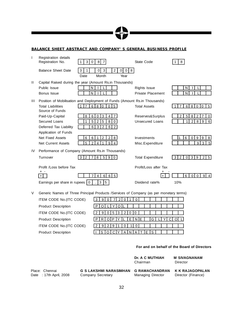# **BALANCE SHEET ABSTRACT AND COMPANY' S GENERAL BUSINESS PROFILE**

| T            | Registration details<br>Registration No.                                                | $\mathbf{3}$<br>$\mathbf 0$ | 8 <sup>1</sup><br>$\overline{7}$               |                                               | State Code               |  | 8                   |                     |                  |                |
|--------------|-----------------------------------------------------------------------------------------|-----------------------------|------------------------------------------------|-----------------------------------------------|--------------------------|--|---------------------|---------------------|------------------|----------------|
|              | <b>Balance Sheet Date</b>                                                               | 3<br>1<br>Date              | $\overline{2}$<br>3<br>$\overline{0}$<br>Month | 8<br>$\overline{0}$<br>$\overline{0}$<br>Year |                          |  |                     |                     |                  |                |
| $\mathbf{H}$ | Capital Raised during the year (Amount Rs.in Thousands)                                 |                             |                                                |                                               |                          |  |                     |                     |                  |                |
|              | Public Issue                                                                            | N                           |                                                |                                               | <b>Rights Issue</b>      |  |                     | N                   |                  |                |
|              | Bonus Issue                                                                             | N                           |                                                |                                               | <b>Private Placement</b> |  |                     | N                   |                  |                |
| Ш            | Position of Mobilisation and Deployment of Funds (Amount Rs.in Thousands)               |                             |                                                |                                               |                          |  |                     |                     |                  |                |
|              | <b>Total Liabilities</b><br>Source of Funds                                             | $\overline{7}$              | 6 8 0<br>$0\vert 5 \vert$                      |                                               | <b>Total Assets</b>      |  |                     | 6                   | 800              | 5              |
|              | Paid-Up-Capital                                                                         | 8<br>6                      | 3<br>$\overline{4}$<br>$\overline{7}$<br>0     |                                               | Reserves&Surplus         |  | $\overline{2}$      | 5 <sup>1</sup><br>8 | $\overline{2}$   | $\mathbf 0$    |
|              | Secured Loans                                                                           | 5<br>1                      | 5<br>8<br>2<br>$\mathbf 0$                     |                                               | <b>Unsecured Loans</b>   |  |                     | 2 <sup>1</sup><br>1 | $8 \mid 9$       | 6              |
|              | Deferred Tax Liability                                                                  | 6                           | $\overline{2}$<br>3 <sup>1</sup><br>6 2        |                                               |                          |  |                     |                     |                  |                |
|              | Application of Funds                                                                    |                             |                                                |                                               |                          |  |                     |                     |                  |                |
|              | <b>Net Fixed Assets</b>                                                                 | 6<br>6                      | $\overline{2}$<br>$\mathcal{P}$<br>8<br>1      |                                               | Investments              |  | 1                   | 6<br>$\Omega$       | $9\,$<br>-9 I    | 8              |
|              | <b>Net Current Assets</b>                                                               | $\overline{2}$<br>5         | 9<br>$\overline{4}$<br>$\overline{1}$<br>4     |                                               | Misc.Expenditure         |  |                     |                     | $9^{\circ}$<br>3 | 5              |
| IV           | Performance of Company (Amount Rs.in Thousands)                                         |                             |                                                |                                               |                          |  |                     |                     |                  |                |
|              | Turnover                                                                                | $\overline{2}$<br>3         | 7 8<br>5 <sup>1</sup><br>90                    |                                               | <b>Total Expenditure</b> |  | $\overline{2}$<br>3 | $\circ$             | $3 \mid 9$       | 2 5            |
|              | Profit /Loss before Tax                                                                 |                             |                                                |                                               | Profit/Loss after Tax    |  |                     |                     |                  |                |
|              | $\ddot{}$<br>+                                                                          | $\overline{7}$              | 6 6 5<br>$\overline{4}$                        |                                               |                          |  |                     | 6<br>$\overline{0}$ | $\overline{0}$   | 9 <sub>1</sub> |
|              | Earnings per share in rupees                                                            | $\mathbf 0$                 | 5 <sup>5</sup><br>3                            |                                               | Dividend rate%           |  | 10%                 |                     |                  |                |
| V            | Generic Names of Three Principal Products / Services of Company (as per monetary terms) |                             |                                                |                                               |                          |  |                     |                     |                  |                |
|              | ITEM CODE No.(ITC CODE)                                                                 |                             | 9<br>$\Omega$<br>3<br>7                        | 2<br>$\Omega$<br>1                            | $\Omega$                 |  |                     |                     |                  |                |
|              | <b>Product Description</b>                                                              |                             | O<br>P<br>∩                                    |                                               |                          |  |                     |                     |                  |                |
|              | ITEM CODE No.(ITC CODE)                                                                 |                             | $\mathcal{P}$<br>5<br>3<br>9<br>$\Omega$       | $\overline{2}$<br>$\mathbf{0}$                | $\Omega$                 |  |                     |                     |                  |                |

Product Description P R O P R O P Y L E N E G L Y C O L ITEM CODE No.(ITC CODE)  $\left[ 2 \mid 9 \mid 2 \mid 9 \mid 1 \mid 0 \mid 1 \mid 0 \right]$ Product Description **I S O C Y A N A T E S** 

# **For and on behalf of the Board of Directors**

|                        |                               | <b>Dr. A C MUTHIAH</b><br>Chairman | <b>M SIVAGNANAM</b><br>Director |
|------------------------|-------------------------------|------------------------------------|---------------------------------|
| Place: Chennai         | <b>G S LAKSHMI NARASIMHAN</b> | <b>G RAMACHANDRAN</b>              | <b>K K RAJAGOPALAN</b>          |
| Date: 17th April, 2008 | Company Secretary             | Managing Director                  | Director (Finance)              |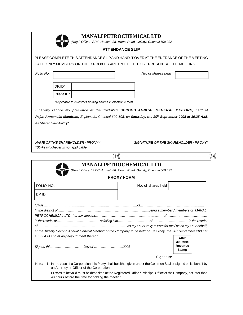| <b>MP</b> |  |
|-----------|--|
|           |  |

# **MANALI PETROCHEMICALLTD**

*(Regd. Office: "SPIC House", 88, Mount Road, Guindy, Chennai 600 032*

# **ATTENDANCE SLIP** PLEASE COMPLETE THIS ATTENDANCE SLIPAND HAND IT OVERAT THE ENTRANCE OF THE MEETING HALL. ONLY MEMBERS OR THEIR PROXIES ARE ENTITLED TO BE PRESENT AT THE MEETING. *Folio No. No. of shares held* DP.ID\* Client.ID\* *\*Applicable to investors holding shares in electronic form. I hereby record my presence at the TWENTY SECOND ANNUAL GENERAL MEETING, held at* Rajah Annamalai Mandram, Esplanade, Chennai 600 108, on Saturday, the 20th September 2008 at 10.35 A.M. *as Shareholder/Proxy\** ………………………………………………… ………………………………………………….... *NAME OF THE SHAREHOLDER / PROXY \* SIGNATURE OF THE SHAREHOLDER / PROXY\* \*Strike whichever is not applicable* **MANALI PETROCHEMICALLTD** *(Regd. Office: "SPIC House", 88, Mount Road, Guindy, Chennai 600 032* **PROXY FORM** FOLIO NO. DP ID No. of shares held *I / We .........................................…………….....……………………….of……………………………………….............. In the district of………………………………………………………………………being a member / members of MANALI PETROCHEMICAL LTD, hereby appoint……………………………………….............…..of………....…………………… in the District of…………………………………or failing him………………………..of……………………………in the District of ……………………………………………………………………..as my / our Proxy to vote for me / us on my / our behalf,* at the Twenty Second Annual General Meeting of the Company to be held on Saturday, the 20<sup>th</sup> September 2008 at *10.35 A.M and at any adjournment thereof. Signed this………………………..Day of ……………………..2008* **Affix 30 Paise Revenue Stamp**

Signature ..........................

Note: 1. In the case of a Corporation this Proxy shall be either given under the Common Seal or signed on its behalf by an Attorney or Officer of the Corporation.

2. Proxies to be valid must be deposited at the Registered Office / Principal Office of the Company, not later than 48 hours before the time for holding the meeting.